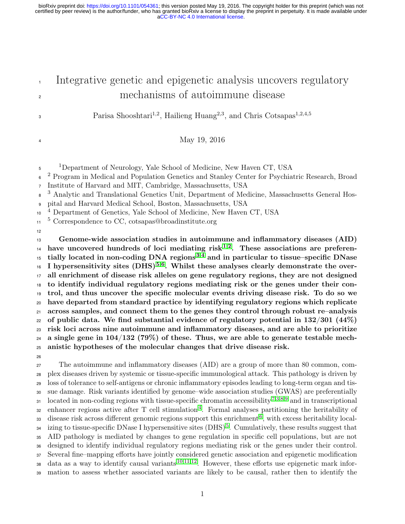# Integrative genetic and epigenetic analysis uncovers regulatory mechanisms of autoimmune disease Parisa Shooshtari<sup>1,2</sup>, Hailieng Huang<sup>2,3</sup>, and Chris Cotsapas<sup>1,2,4,5</sup> May 19, 2016 Department of Neurology, Yale School of Medicine, New Haven CT, USA <sup>2</sup> Program in Medical and Population Genetics and Stanley Center for Psychiatric Research, Broad Institute of Harvard and MIT, Cambridge, Massachusetts, USA Analytic and Translational Genetics Unit, Department of Medicine, Massachusetts General Hos- pital and Harvard Medical School, Boston, Massachusetts, USA <sup>4</sup> Department of Genetics, Yale School of Medicine, New Haven CT, USA <sup>11</sup><sup>5</sup> Correspondence to CC, cotsapas@broadinstitute.org Genome-wide association studies in autoimmune and inflammatory diseases (AID) <sup>14</sup> have uncovered hundreds of loci mediating risk<sup>[1,](#page-7-0)[2](#page-7-1)</sup>. These associations are preferen-tially located in non-coding DNA regions<sup>[3,](#page-7-2)[4](#page-7-3)</sup> and in particular to tissue–specific DNase  $_{16}$  $_{16}$  $_{16}$  I hypersensitivity sites (DHS)<sup>[5,](#page-7-4)6</sup>. Whilst these analyses clearly demonstrate the over- all enrichment of disease risk alleles on gene regulatory regions, they are not designed to identify individual regulatory regions mediating risk or the genes under their con- trol, and thus uncover the specific molecular events driving disease risk. To do so we have departed from standard practice by identifying regulatory regions which replicate

 across samples, and connect them to the genes they control through robust re–analysis of public data. We find substantial evidence of regulatory potential in 132/301 (44%) risk loci across nine autoimmune and inflammatory diseases, and are able to prioritize a single gene in 104/132 (79%) of these. Thus, we are able to generate testable mech-anistic hypotheses of the molecular changes that drive disease risk.

 The autoimmune and inflammatory diseases (AID) are a group of more than 80 common, com- plex diseases driven by systemic or tissue-specific immunological attack. This pathology is driven by loss of tolerance to self-antigens or chronic inflammatory episodes leading to long-term organ and tis- sue damage. Risk variants identified by genome–wide association studies (GWAS) are preferentially  $\mu$  located in non-coding regions with tissue-specific chromatin accessibility  $^{7,3,8,9}$  $^{7,3,8,9}$  $^{7,3,8,9}$  $^{7,3,8,9}$  $^{7,3,8,9}$  $^{7,3,8,9}$  and in transcriptional  $\alpha$  enhancer regions active after T cell stimulation<sup>[4](#page-7-3)</sup>. Formal analyses partitioning the heritability of 33 disease risk across different genomic regions support this enrichment<sup>[6](#page-8-0)</sup>, with excess heritability local- $\frac{34}{4}$  izing to tissue-specific DNase I hypersensitive sites (DHS)<sup>[5](#page-7-4)</sup>. Cumulatively, these results suggest that AID pathology is mediated by changes to gene regulation in specific cell populations, but are not designed to identify individual regulatory regions mediating risk or the genes under their control. Several fine–mapping efforts have jointly considered genetic association and epigenetic modification as data as a way to identify causal variants  $10,11,12$  $10,11,12$ . However, these efforts use epigenetic mark infor-mation to assess whether associated variants are likely to be causal, rather then to identify the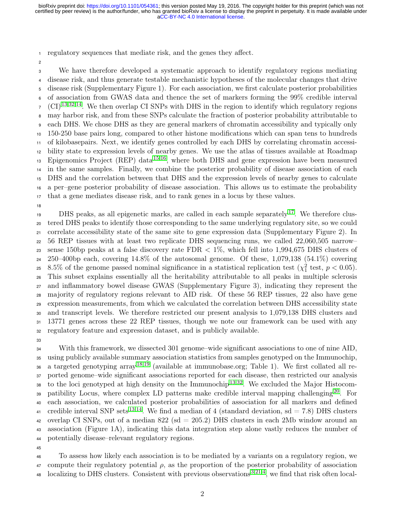regulatory sequences that mediate risk, and the genes they affect.

 We have therefore developed a systematic approach to identify regulatory regions mediating disease risk, and thus generate testable mechanistic hypotheses of the molecular changes that drive disease risk (Supplementary Figure 1). For each association, we first calculate posterior probabilities of association from GWAS data and thence the set of markers forming the 99% credible interval  $(CI)^{13,32,14}$  $(CI)^{13,32,14}$  $(CI)^{13,32,14}$  $(CI)^{13,32,14}$  $(CI)^{13,32,14}$ . We then overlap CI SNPs with DHS in the region to identify which regulatory regions may harbor risk, and from these SNPs calculate the fraction of posterior probability attributable to each DHS. We chose DHS as they are general markers of chromatin accessibility and typically only 150-250 base pairs long, compared to other histone modifications which can span tens to hundreds of kilobasepairs. Next, we identify genes controlled by each DHS by correlating chromatin accessi- bility state to expression levels of nearby genes. We use the atlas of tissues available at Roadmap  $\mu_3$  Epigenomics Project (REP) data <sup>[15](#page-10-0)[,16](#page-10-1)</sup>, where both DHS and gene expression have been measured in the same samples. Finally, we combine the posterior probability of disease association of each DHS and the correlation between that DHS and the expression levels of nearby genes to calculate a per–gene posterior probability of disease association. This allows us to estimate the probability that a gene mediates disease risk, and to rank genes in a locus by these values.

 DHS peaks, as all epigenetic marks, are called in each sample separately <sup>[17](#page-11-0)</sup>. We therefore clus- tered DHS peaks to identify those corresponding to the same underlying regulatory site, so we could correlate accessibility state of the same site to gene expression data (Supplementary Figure 2). In 56 REP tissues with at least two replicate DHS sequencing runs, we called 22,060,505 narrow– 23 sense 150bp peaks at a false discovery rate  $FDR < 1\%$ , which fell into 1,994,675 DHS clusters of 250–400bp each, covering 14.8% of the autosomal genome. Of these, 1,079,138 (54.1%) covering 25 8.5% of the genome passed nominal significance in a statistical replication test  $(\chi^2_1 \text{ test}, p < 0.05)$ . This subset explains essentially all the heritability attributable to all peaks in multiple sclerosis and inflammatory bowel disease GWAS (Supplementary Figure 3), indicating they represent the majority of regulatory regions relevant to AID risk. Of these 56 REP tissues, 22 also have gene expression measurements, from which we calculated the correlation between DHS accessibility state and transcript levels. We therefore restricted our present analysis to 1,079,138 DHS clusters and 13771 genes across these 22 REP tissues, though we note our framework can be used with any regulatory feature and expression dataset, and is publicly available.

 With this framework, we dissected 301 genome–wide significant associations to one of nine AID, using publicly available summary association statistics from samples genotyped on the Immunochip, as a targeted genotyping  $\arctan^{18,19}$  $\arctan^{18,19}$  $\arctan^{18,19}$  $\arctan^{18,19}$  (available at immunobase.org; Table 1). We first collated all re- ported genome–wide significant associations reported for each disease, then restricted our analysis to the loci genotyped at high density on the Immunochip<sup>[13](#page-9-2)[,32](#page-13-0)</sup>. We excluded the Major Histocom-39 patibility Locus, where complex LD patterns make credible interval mapping challenging  $2^{\circ}$ . For each association, we calculated posterior probabilities of association for all markers and defined 41 credible interval SNP sets <sup>[13,](#page-9-2)[14](#page-9-3)</sup>. We find a median of 4 (standard deviation, sd = 7.8) DHS clusters 42 overlap CI SNPs, out of a median 822 (sd  $= 205.2$ ) DHS clusters in each 2Mb window around an association (Figure 1A), indicating this data integration step alone vastly reduces the number of potentially disease–relevant regulatory regions.

 To assess how likely each association is to be mediated by a variants on a regulatory region, we  $\alpha$ <sup>7</sup> compute their regulatory potential  $\rho$ , as the proportion of the posterior probability of association [4](#page-7-3)8 localizing to DHS clusters. Consistent with previous observations  $3,21,4$  $3,21,4$ , we find that risk often local-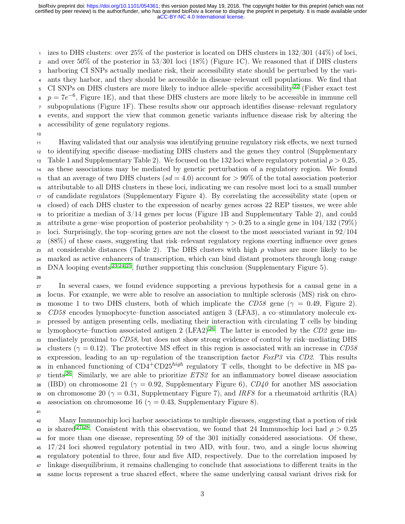izes to DHS clusters: over 25% of the posterior is located on DHS clusters in 132/301 (44%) of loci,

and over 50% of the posterior in 53/301 loci (18%) (Figure 1C). We reasoned that if DHS clusters

harboring CI SNPs actually mediate risk, their accessibility state should be perturbed by the vari-

ants they harbor, and they should be accessible in disease–relevant cell populations. We find that

 $\sigma$  CI SNPs on DHS clusters are more likely to induce allele–specific accessibility <sup>[22](#page-11-5)</sup> (Fisher exact test  $p = 7e^{-6}$ , Figure 1E), and that these DHS clusters are more likely to be accessible in immune cell

 subpopulations (Figure 1F). These results show our approach identifies disease–relevant regulatory events, and support the view that common genetic variants influence disease risk by altering the

accessibility of gene regulatory regions.

 Having validated that our analysis was identifying genuine regulatory risk effects, we next turned to identifying specific disease–mediating DHS clusters and the genes they control (Supplementary 13 Table 1 and Supplementary Table 2). We focused on the 132 loci where regulatory potential  $\rho > 0.25$ , as these associations may be mediated by genetic perturbation of a regulatory region. We found <sup>15</sup> that an average of two DHS clusters  $sd = 4.0$  account for  $> 90\%$  of the total association posterior attributable to all DHS clusters in these loci, indicating we can resolve most loci to a small number of candidate regulators (Supplementary Figure 4). By correlating the accessibility state (open or closed) of each DHS cluster to the expression of nearby genes across 22 REP tissues, we were able to prioritize a median of 3/14 genes per locus (Figure 1B and Supplementary Table 2), and could 20 attribute a gene–wise proportion of posterior probability  $\gamma > 0.25$  to a single gene in 104/132 (79%) loci. Surprisingly, the top–scoring genes are not the closest to the most associated variant in 92/104 (88%) of these cases, suggesting that risk–relevant regulatory regions exerting influence over genes 23 at considerable distances (Table 2). The DHS clusters with high  $\rho$  values are more likely to be marked as active enhancers of transcription, which can bind distant promoters through long–range 25 DNA looping events<sup>[23,](#page-11-6)[24](#page-11-7)[,25](#page-11-8)</sup>, further supporting this conclusion (Supplementary Figure 5). 

 In several cases, we found evidence supporting a previous hypothesis for a causal gene in a locus. For example, we were able to resolve an association to multiple sclerosis (MS) risk on chro-29 mosome 1 to two DHS clusters, both of which implicate the  $CD58$  gene ( $\gamma = 0.49$ , Figure 2). CD58 encodes lymophocyte–function associated antigen 3 (LFA3), a co–stimulatory molecule ex- pressed by antigen presenting cells, mediating their interaction with circulating T cells by binding 32 lymophocyte–function associated antigen 2 (LFA2)<sup>[26](#page-12-0)</sup>. The latter is encoded by the  $CD2$  gene im- mediately proximal to CD58, but does not show strong evidence of control by risk–mediating DHS <sup>34</sup> clusters ( $\gamma = 0.12$ ). The protective MS effect in this region is associated with an increase in CD58 35 expression, leading to an up–regulation of the transcription factor  $FoxP3$  via  $CD2$ . This results <sup>36</sup> in enhanced functioning of  $CD4+CD25^{high}$  regulatory T cells, thought to be defective in MS pa- $\sigma$  is tients<sup>[26](#page-12-0)</sup>. Similarly, we are able to prioritize ETS2 for an inflammatory bowel disease association 38 (IBD) on chromosome 21 ( $\gamma = 0.92$ , Supplementary Figure 6), CD40 for another MS association 39 on chromosome 20 ( $\gamma = 0.31$ , Supplementary Figure 7), and IRF8 for a rheumatoid arthritis (RA) 40 association on chromosome 16 ( $\gamma = 0.43$ , Supplementary Figure 8).

 Many Immunochip loci harbor associations to multiple diseases, suggesting that a portion of risk <sup>43</sup> is shared<sup>[27,](#page-12-1)[28](#page-12-2)</sup>. Consistent with this observation, we found that 24 Immunochip loci had  $\rho > 0.25$  for more than one disease, representing 59 of the 301 initially considered associations. Of these, 17/24 loci showed regulatory potential in two AID, with four, two, and a single locus showing regulatory potential to three, four and five AID, respectively. Due to the correlation imposed by linkage disequilibrium, it remains challenging to conclude that associations to different traits in the same locus represent a true shared effect, where the same underlying causal variant drives risk for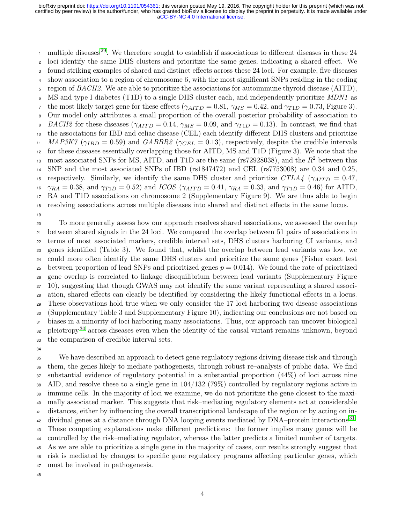<sup>1</sup> multiple diseases<sup>[29](#page-12-3)</sup>. We therefore sought to establish if associations to different diseases in these 24 loci identify the same DHS clusters and prioritize the same genes, indicating a shared effect. We found striking examples of shared and distinct effects across these 24 loci. For example, five diseases show association to a region of chromosome 6, with the most significant SNPs residing in the coding  $\frac{1}{5}$  region of BACH2. We are able to prioritize the associations for autoimmune thyroid disease (AITD), MS and type I diabetes (T1D) to a single DHS cluster each, and independently prioritize MDN1 as 7 the most likely target gene for these effects ( $\gamma_{AITD} = 0.81$ ,  $\gamma_{MS} = 0.42$ , and  $\gamma_{T1D} = 0.73$ , Figure 3). Our model only attributes a small proportion of the overall posterior probability of association to 9 BACH2 for these diseases ( $\gamma_{AITD} = 0.14$ ,  $\gamma_{MS} = 0.09$ , and  $\gamma_{T1D} = 0.13$ ). In contrast, we find that the associations for IBD and celiac disease (CEL) each identify different DHS clusters and prioritize 11 MAP3K7 ( $\gamma_{IBD} = 0.59$ ) and GABBR2 ( $\gamma_{CEL} = 0.13$ ), respectively, despite the credible intervals for these diseases essentially overlapping those for AITD, MS and T1D (Figure 3). We note that the 13 most associated SNPs for MS, AITD, and T1D are the same ( $rs72928038$ ), and the  $R^2$  between this SNP and the most associated SNPs of IBD (rs1847472) and CEL (rs7753008) are 0.34 and 0.25, 15 respectively. Similarly, we identify the same DHS cluster and prioritize  $CTLA4$  ( $\gamma_{AITD} = 0.47$ , 16  $\gamma_{RA} = 0.38$ , and  $\gamma_{T1D} = 0.52$ ) and  $ICOS$  ( $\gamma_{AITD} = 0.41$ ,  $\gamma_{RA} = 0.33$ , and  $\gamma_{T1D} = 0.46$ ) for AITD, RA and T1D associations on chromosome 2 (Supplementary Figure 9). We are thus able to begin resolving associations across multiple diseases into shared and distinct effects in the same locus. 

 To more generally assess how our approach resolves shared associations, we assessed the overlap between shared signals in the 24 loci. We compared the overlap between 51 pairs of associations in terms of most associated markers, credible interval sets, DHS clusters harboring CI variants, and genes identified (Table 3). We found that, whilst the overlap between lead variants was low, we could more often identify the same DHS clusters and prioritize the same genes (Fisher exact test 25 between proportion of lead SNPs and prioritized genes  $p = 0.014$ ). We found the rate of prioritized gene overlap is correlated to linkage disequilibrium between lead variants (Supplementary Figure 10), suggesting that though GWAS may not identify the same variant representing a shared associ- ation, shared effects can clearly be identified by considering the likely functional effects in a locus. These observations hold true when we only consider the 17 loci harboring two disease associations (Supplementary Table 3 and Supplementary Figure 10), indicating our conclusions are not based on biases in a minority of loci harboring many associations. Thus, our approach can uncover biological  $p^3$  pleiotropy<sup>[30](#page-13-1)</sup> across diseases even when the identity of the causal variant remains unknown, beyond the comparison of credible interval sets.

 We have described an approach to detect gene regulatory regions driving disease risk and through them, the genes likely to mediate pathogenesis, through robust re–analysis of public data. We find substantial evidence of regulatory potential in a substantial proportion (44%) of loci across nine AID, and resolve these to a single gene in 104/132 (79%) controlled by regulatory regions active in immune cells. In the majority of loci we examine, we do not prioritize the gene closest to the maxi- mally associated marker. This suggests that risk–mediating regulatory elements act at considerable distances, either by influencing the overall transcriptional landscape of the region or by acting on in-42 dividual genes at a distance through DNA looping events mediated by DNA–protein interactions<sup>[31](#page-13-2)</sup>. These competing explanations make different predictions: the former implies many genes will be controlled by the risk–mediating regulator, whereas the latter predicts a limited number of targets. As we are able to prioritize a single gene in the majority of cases, our results strongly suggest that risk is mediated by changes to specific gene regulatory programs affecting particular genes, which must be involved in pathogenesis.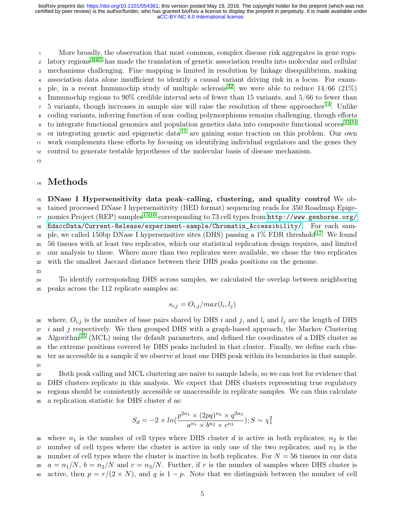More broadly, the observation that most common, complex disease risk aggregates in gene regu-<sup>2</sup> latory regions<sup>[3,](#page-7-2)[4](#page-7-3)[,5](#page-7-4)</sup> has made the translation of genetic association results into molecular and cellular mechanisms challenging. Fine–mapping is limited in resolution by linkage disequilibrium, making association data alone insufficient to identify a causal variant driving risk in a locus. For exam-5 ple, in a recent Immunochip study of multiple sclerosis , we were able to reduce  $14/66$  (21%) Immunochip regions to 90% credible interval sets of fewer than 15 variants, and 5/66 to fewer than  $\frac{1}{7}$  5 variants, though increases in sample size will raise the resolution of these approaches  $^{14}$  $^{14}$  $^{14}$ . Unlike coding variants, inferring function of non–coding polymorphisms remains challenging, though efforts <sup>9</sup> to integrate functional genomics and population genetics data into composite functional scores <sup>[33,](#page-14-0)[34](#page-14-1)</sup> to or integrating genetic and epigenetic data are gaining some traction on this problem. Our own work complements these efforts by focusing on identifying individual regulators and the genes they control to generate testable hypotheses of the molecular basis of disease mechanism. 

#### Methods

 DNase I Hypersensitivity data peak–calling, clustering, and quality control We ob- tained processed DNase I hypersensitivity (BED format) sequencing reads for 350 Roadmap Epige[n](http://www.genboree.org/EdaccData/Current-Release/experiment-sample/Chromatin_Accessibility/)omics Project (REP) samples <sup>[15](#page-10-0)[,16](#page-10-1)</sup> corresponding to 73 cell types from [http://www.genboree.org/](http://www.genboree.org/EdaccData/Current-Release/experiment-sample/Chromatin_Accessibility/) [EdaccData/Current-Release/experiment-sample/Chromatin\\_Accessibility/](http://www.genboree.org/EdaccData/Current-Release/experiment-sample/Chromatin_Accessibility/). For each sam-19 ple, we called 150bp DNase I hypersensitive sites (DHS) passing a  $1\%$  FDR threshold  $17$ . We found 56 tissues with at least two replicates, which our statistical replication design requires, and limited our analysis to these. Where more than two replicates were available, we chose the two replicates with the smallest Jaccard distance between their DHS peaks positions on the genome. 

 To identify corresponding DHS across samples, we calculated the overlap between neighboring peaks across the 112 replicate samples as:

$$
s_{i,j} = O_{i,j}/max(l_i, l_j)
$$

26 where,  $O_{i,j}$  is the number of base pairs shared by DHS i and j, and  $l_i$  and  $l_j$  are the length of DHS i and j respectively. We then grouped DHS with a graph-based approach, the Markov Clustering  $_{28}$  Algorithm<sup>[35](#page-14-2)</sup> (MCL) using the default parameters, and defined the coordinates of a DHS cluster as the extreme positions covered by DHS peaks included in that cluster. Finally, we define each clus- ter as accessible in a sample if we observe at least one DHS peak within its boundaries in that sample. 

 Both peak calling and MCL clustering are naive to sample labels, so we can test for evidence that DHS clusters replicate in this analysis. We expect that DHS clusters representing true regulatory regions should be consistently accessible or unaccessible in replicate samples. We can thus calculate a replication statistic for DHS cluster d as:

$$
S_d = -2 \times ln(\frac{p^{2n_1} \times (2pq)^{n_2} \times q^{2n_3}}{a^{n_1} \times b^{n_2} \times c^{n_3}}); S \sim \chi_1^2
$$

36 where  $n_1$  is the number of cell types where DHS cluster d is active in both replicates;  $n_2$  is the number of cell types where the cluster is active in only one of the two replicates; and  $n_3$  is the 38 number of cell types where the cluster is inactive in both replicates. For  $N = 56$  tissues in our data 39  $a = n_1/N$ ,  $b = n_2/N$  and  $c = n_3/N$ . Further, if r is the number of samples where DHS cluster is active, then  $p = r/(2 \times N)$ , and q is  $1 - p$ . Note that we distinguish between the number of cell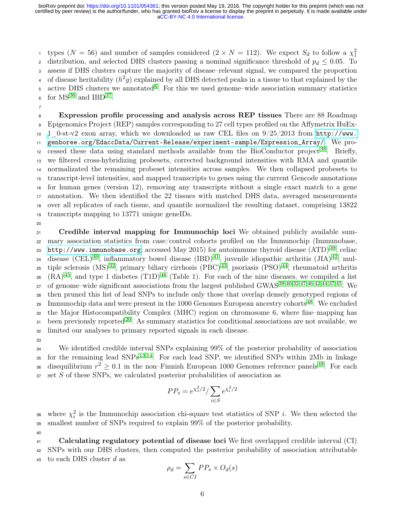types ( $N = 56$ ) and number of samples considered ( $2 \times N = 112$ ). We expect  $S_d$  to follow a  $\chi_1^2$ 1 2 distribution, and selected DHS clusters passing a nominal significance threshold of  $p_d \leq 0.05$ . To <sup>3</sup> assess if DHS clusters capture the majority of disease–relevant signal, we compared the proportion 4 of disease heritability  $(h^2g)$  explained by all DHS detected peaks in a tissue to that explained by the  $\frac{1}{5}$  active DHS clusters we annotated <sup>[6](#page-8-0)</sup>. For this we used genome–wide association summary statistics 6 for  $\text{MS}^{36}$  $\text{MS}^{36}$  $\text{MS}^{36}$  and IBD<sup>[37](#page-14-4)</sup>.

 Expression profile processing and analysis across REP tissues There are 88 Roadmap Epigenomics Project (REP) samples corresponding to 27 cell types profiled on the Affymetrix HuEx-0 1 0-st-v2 exon array, which we downloaded as raw CEL files on  $9/25/2013$  from [http://www.](http://www.genboree.org/EdaccData/Current-Release/experiment-sample/Expression_Array/) [genboree.org/EdaccData/Current-Release/experiment-sample/Expression\\_Array/](http://www.genboree.org/EdaccData/Current-Release/experiment-sample/Expression_Array/). We pro-cessed these data using standard methods available from the BioConductor project<sup>[38](#page-15-0)</sup>. Briefly, we filtered cross-hybridizing probesets, corrected background intensities with RMA and quantile normalizated the remaining probeset intensities across samples. We then collapsed probesets to transcript-level intensities, and mapped transcripts to genes using the current Gencode annotations for human genes (version 12), removing any transcripts without a single exact match to a gene annotation. We then identified the 22 tissues with matched DHS data, averaged measurements over all replicates of each tissue, and quantile normalized the resulting dataset, comprising 13822 transcripts mapping to 13771 unique geneIDs.

20

7

<sup>21</sup> Credible interval mapping for Immunochip loci We obtained publicly available sum-<sup>22</sup> mary association statistics from case/control cohorts profiled on the Immunochip (Immunobase, 23 [http://www.immunobase.org](http://www. immunobase.org); accessed May 2015) for autoimmune thyroid disease  $(ATD)^{39}$  $(ATD)^{39}$  $(ATD)^{39}$ , celiac <sup>24</sup> disease (CEL)<sup>[40](#page-16-0)</sup>, inflammatory bowel disease (IBD)<sup>[41](#page-16-1)</sup>, juvenile idiopathic arthritis (JIA)<sup>[42](#page-18-0)</sup>, mul- $\epsilon$  tiple sclerosis (MS)<sup>[32](#page-13-0)</sup>, primary biliary cirrhosis (PBC)<sup>[43](#page-18-1)</sup>, psoriasis (PSO)<sup>[44](#page-19-0)</sup>, rheumatoid arthritis  $(RA)^{45}$  $(RA)^{45}$  $(RA)^{45}$ , and type 1 diabetes (T1D)<sup>[46](#page-20-0)</sup> (Table 1). For each of the nine diseases, we compiled a list  $\alpha$  of genome–wide significant associations from the largest published GWAS<sup>[39](#page-15-1)[,40](#page-16-0)[,32,](#page-13-0)[47,](#page-21-0)[46](#page-20-0)[,42,](#page-18-0)[44](#page-19-0)[,37](#page-14-4)[,45](#page-19-1)</sup>. We <sup>28</sup> then pruned this list of lead SNPs to include only those that overlap densely genotyped regions of <sup>29</sup> Immunochip data and were present in the 1000 Genomes European ancestry cohorts  $^{48}$  $^{48}$  $^{48}$ . We excluded <sup>30</sup> the Major Histocompatibility Complex (MHC) region on chromosome 6, where fine–mapping has  $_{31}$  been previously reported<sup>[20](#page-11-3)</sup>. As summary statistics for conditional associations are not available, we <sup>32</sup> limited our analyses to primary reported signals in each disease.

33

<sup>34</sup> We identified credible interval SNPs explaining 99% of the posterior probability of association  $\text{5}$  for the remaining lead SNPs<sup>[13,](#page-9-2)[14](#page-9-3)</sup>. For each lead SNP, we identified SNPs within 2Mb in linkage <sup>36</sup> disequilibrium  $r^2 \geq 0.1$  in the non–Finnish European 1000 Genomes reference panels<sup>[48](#page-23-0)</sup>. For each <sup>37</sup> set S of these SNPs, we calculated posterior probabilities of association as

$$
PP_s = e^{\chi_s^2/2} / \sum_{i \in S} e^{\chi_i^2/2}
$$

38 where  $\chi_i^2$  is the Immunochip association chi-square test statistics of SNP *i*. We then selected the <sup>39</sup> smallest number of SNPs required to explain 99% of the posterior probability. 40

<sup>41</sup> Calculating regulatory potential of disease loci We first overlapped credible interval (CI) <sup>42</sup> SNPs with our DHS clusters, then computed the posterior probability of association attributable 43 to each DHS cluster  $d$  as

$$
\rho_d = \sum_{s \in CI} PP_s \times O_d(s)
$$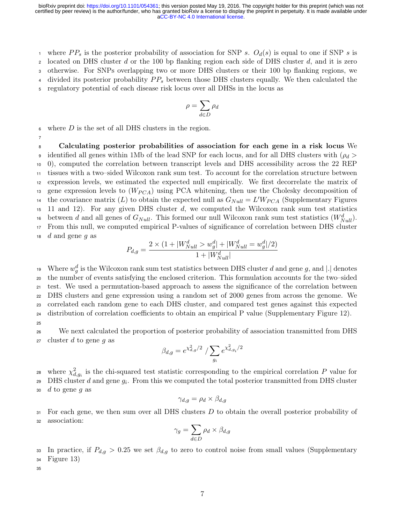<sup>1</sup> where  $PP_s$  is the posterior probability of association for SNP s.  $O_d(s)$  is equal to one if SNP s is

2 located on DHS cluster  $d$  or the 100 bp flanking region each side of DHS cluster  $d$ , and it is zero

<sup>3</sup> otherwise. For SNPs overlapping two or more DHS clusters or their 100 bp flanking regions, we

4 divided its posterior probability  $PP_s$  between those DHS clusters equally. We then calculated the

<sup>5</sup> regulatory potential of each disease risk locus over all DHSs in the locus as

$$
\rho = \sum_{d \in D} \rho_d
$$

 $\epsilon$  where D is the set of all DHS clusters in the region.

 Calculating posterior probabilities of association for each gene in a risk locus We 9 identified all genes within 1Mb of the lead SNP for each locus, and for all DHS clusters with  $(\rho_d >$  0), computed the correlation between transcript levels and DHS accessibility across the 22 REP tissues with a two–sided Wilcoxon rank sum test. To account for the correlation structure between expression levels, we estimated the expected null empirically. We first decorrelate the matrix of <sup>13</sup> gene expression levels to  $(W_{PCA})$  using PCA whitening, then use the Cholesky decomposition of the covariance matrix (L) to obtain the expected null as  $G_{Null} = L'W_{PCA}$  (Supplementary Figures and 12). For any given DHS cluster d, we computed the Wilcoxon rank sum test statistics to between d and all genes of  $G_{Null}$ . This formed our null Wilcoxon rank sum test statistics  $(W_{Null}^d)$ . From this null, we computed empirical P-values of significance of correlation between DHS cluster  $d$  and gene  $g$  as

$$
P_{d,g} = \frac{2 \times (1 + |W^d_{Null} > w^d_g| + |W^d_{Null} = w^d_g|/2)}{1 + |W^d_{Null}|}
$$

<sup>19</sup> Where  $w_g^d$  is the Wilcoxon rank sum test statistics between DHS cluster d and gene g, and |.| denotes the number of events satisfying the enclosed criterion. This formulation accounts for the two–sided test. We used a permutation-based approach to assess the significance of the correlation between DHS clusters and gene expression using a random set of 2000 genes from across the genome. We correlated each random gene to each DHS cluster, and compared test genes against this expected distribution of correlation coefficients to obtain an empirical P value (Supplementary Figure 12). 25

<sup>26</sup> We next calculated the proportion of posterior probability of association transmitted from DHS 27 cluster d to gene q as

$$
\beta_{d,g} = e^{\chi^2_{d,g}/2} / \sum_{g_i} e^{\chi^2_{d,g_i}/2}
$$

28 where  $\chi^2_{d,g_i}$  is the chi-squared test statistic corresponding to the empirical correlation P value for 29 DHS cluster d and gene  $g_i$ . From this we computed the total posterior transmitted from DHS cluster 30  $d$  to gene  $g$  as

$$
\gamma_{d,g} = \rho_d \times \beta_{d,g}
$$

31 For each gene, we then sum over all DHS clusters D to obtain the overall posterior probability of <sup>32</sup> association:

$$
\gamma_g = \sum_{d \in D} \rho_d \times \beta_{d,g}
$$

33 In practice, if  $P_{d,g} > 0.25$  we set  $\beta_{d,g}$  to zero to control noise from small values (Supplementary <sup>34</sup> Figure 13)

35

7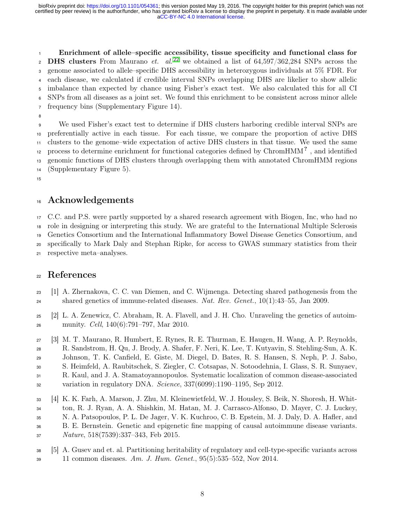Enrichment of allele–specific accessibility, tissue specificity and functional class for 2 DHS clusters From Maurano *et. al.*<sup>[22](#page-11-5)</sup> we obtained a list of  $64,597/362,284$  SNPs across the genome associated to allele–specific DHS accessibility in heterozygous individuals at 5% FDR. For each disease, we calculated if credible interval SNPs overlapping DHS are likelier to show allelic imbalance than expected by chance using Fisher's exact test. We also calculated this for all CI SNPs from all diseases as a joint set. We found this enrichment to be consistent across minor allele frequency bins (Supplementary Figure 14).

 We used Fisher's exact test to determine if DHS clusters harboring credible interval SNPs are preferentially active in each tissue. For each tissue, we compare the proportion of active DHS clusters to the genome–wide expectation of active DHS clusters in that tissue. We used the same <sup>12</sup> process to determine enrichment for functional categories defined by ChromHMM<sup>?</sup>, and identified genomic functions of DHS clusters through overlapping them with annotated ChromHMM regions (Supplementary Figure 5).

## Acknowledgements

 C.C. and P.S. were partly supported by a shared research agreement with Biogen, Inc, who had no role in designing or interpreting this study. We are grateful to the International Multiple Sclerosis Genetics Consortium and the International Inflammatory Bowel Disease Genetics Consortium, and specifically to Mark Daly and Stephan Ripke, for access to GWAS summary statistics from their respective meta–analyses.

### References

- <span id="page-7-0"></span> [1] A. Zhernakova, C. C. van Diemen, and C. Wijmenga. Detecting shared pathogenesis from the  $_{24}$  shared genetics of immune-related diseases. Nat. Rev. Genet.,  $10(1):43-55$ , Jan 2009.
- <span id="page-7-1"></span> [2] L. A. Zenewicz, C. Abraham, R. A. Flavell, and J. H. Cho. Unraveling the genetics of autoim-munity. Cell, 140(6):791–797, Mar 2010.
- <span id="page-7-2"></span> [3] M. T. Maurano, R. Humbert, E. Rynes, R. E. Thurman, E. Haugen, H. Wang, A. P. Reynolds, R. Sandstrom, H. Qu, J. Brody, A. Shafer, F. Neri, K. Lee, T. Kutyavin, S. Stehling-Sun, A. K. Johnson, T. K. Canfield, E. Giste, M. Diegel, D. Bates, R. S. Hansen, S. Neph, P. J. Sabo, S. Heimfeld, A. Raubitschek, S. Ziegler, C. Cotsapas, N. Sotoodehnia, I. Glass, S. R. Sunyaev, R. Kaul, and J. A. Stamatoyannopoulos. Systematic localization of common disease-associated variation in regulatory DNA. Science, 337(6099):1190–1195, Sep 2012.
- <span id="page-7-3"></span> [4] K. K. Farh, A. Marson, J. Zhu, M. Kleinewietfeld, W. J. Housley, S. Beik, N. Shoresh, H. Whit- ton, R. J. Ryan, A. A. Shishkin, M. Hatan, M. J. Carrasco-Alfonso, D. Mayer, C. J. Luckey, N. A. Patsopoulos, P. L. De Jager, V. K. Kuchroo, C. B. Epstein, M. J. Daly, D. A. Hafler, and B. E. Bernstein. Genetic and epigenetic fine mapping of causal autoimmune disease variants. Nature, 518(7539):337–343, Feb 2015.

<span id="page-7-4"></span> [5] A. Gusev and et. al. Partitioning heritability of regulatory and cell-type-specific variants across 39 11 common diseases. Am. J. Hum. Genet.,  $95(5):535-552$ , Nov 2014.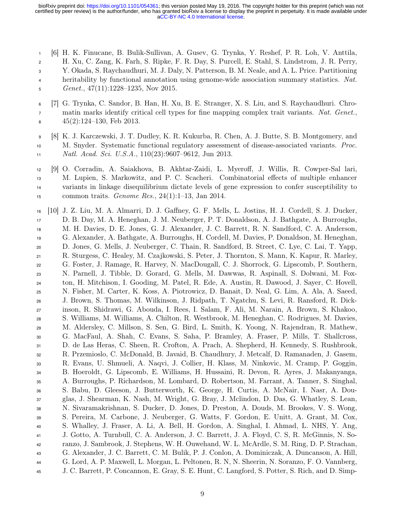<span id="page-8-0"></span> [6] H. K. Finucane, B. Bulik-Sullivan, A. Gusev, G. Trynka, Y. Reshef, P. R. Loh, V. Anttila, H. Xu, C. Zang, K. Farh, S. Ripke, F. R. Day, S. Purcell, E. Stahl, S. Lindstrom, J. R. Perry, Y. Okada, S. Raychaudhuri, M. J. Daly, N. Patterson, B. M. Neale, and A. L. Price. Partitioning heritability by functional annotation using genome-wide association summary statistics. Nat. 5 Genet.,  $47(11):1228-1235$ , Nov 2015.

<span id="page-8-1"></span> [7] G. Trynka, C. Sandor, B. Han, H. Xu, B. E. Stranger, X. S. Liu, and S. Raychaudhuri. Chro- matin marks identify critical cell types for fine mapping complex trait variants. Nat. Genet.,  $\frac{45(2):124-130}{8}$ , Feb 2013.

<span id="page-8-2"></span> [8] K. J. Karczewski, J. T. Dudley, K. R. Kukurba, R. Chen, A. J. Butte, S. B. Montgomery, and M. Snyder. Systematic functional regulatory assessment of disease-associated variants. Proc. Natl. Acad. Sci. U.S.A., 110(23):9607–9612, Jun 2013.

<span id="page-8-3"></span> [9] O. Corradin, A. Saiakhova, B. Akhtar-Zaidi, L. Myeroff, J. Willis, R. Cowper-Sal lari, M. Lupien, S. Markowitz, and P. C. Scacheri. Combinatorial effects of multiple enhancer variants in linkage disequilibrium dictate levels of gene expression to confer susceptibility to common traits. Genome Res., 24(1):1–13, Jan 2014.

<span id="page-8-4"></span> [10] J. Z. Liu, M. A. Almarri, D. J. Gaffney, G. F. Mells, L. Jostins, H. J. Cordell, S. J. Ducker, D. B. Day, M. A. Heneghan, J. M. Neuberger, P. T. Donaldson, A. J. Bathgate, A. Burroughs, M. H. Davies, D. E. Jones, G. J. Alexander, J. C. Barrett, R. N. Sandford, C. A. Anderson, G. Alexander, A. Bathgate, A. Burroughs, H. Cordell, M. Davies, P. Donaldson, M. Heneghan, D. Jones, G. Mells, J. Neuberger, C. Thain, R. Sandford, B. Street, C. Lye, C. Lai, T. Yapp, R. Sturgess, C. Healey, M. Czajkowski, S. Peter, J. Thornton, S. Mann, K. Kapur, R. Marley, G. Foster, J. Ramage, R. Harvey, N. MacDougall, C. J. Shorrock, G. Lipscomb, P. Southern, N. Parnell, J. Tibble, D. Gorard, G. Mells, M. Dawwas, R. Aspinall, S. Dolwani, M. Fox- ton, H. Mitchison, I. Gooding, M. Patel, R. Ede, A. Austin, R. Dawood, J. Sayer, C. Hovell, N. Fisher, M. Carter, K. Koss, A. Piotrowicz, D. Banait, D. Neal, G. Lim, A. Ala, A. Saeed, J. Brown, S. Thomas, M. Wilkinson, J. Ridpath, T. Ngatchu, S. Levi, R. Ransford, R. Dick- inson, R. Shidrawi, G. Abouda, I. Rees, I. Salam, F. Ali, M. Narain, A. Brown, S. Khakoo, S. Williams, M. Williams, A. Chilton, R. Westbrook, M. Heneghan, C. Rodrigues, M. Davies, M. Aldersley, C. Millson, S. Sen, G. Bird, L. Smith, K. Yoong, N. Rajendran, R. Mathew, G. MacFaul, A. Shah, C. Evans, S. Saha, P. Bramley, A. Fraser, P. Mills, T. Shallcross, D. de Las Heras, C. Sheen, R. Crofton, A. Prach, A. Shepherd, H. Kennedy, S. Rushbrook, R. Przemioslo, C. McDonald, B. Javaid, B. Chaudhury, J. Metcalf, D. Ramanaden, J. Gasem, R. Evans, U. Shmueli, A. Naqvi, J. Collier, H. Klass, M. Ninkovic, M. Cramp, P. Goggin, B. Hoeroldt, G. Lipscomb, E. Williams, H. Hussaini, R. Devon, R. Ayres, J. Makanyanga, A. Burroughs, P. Richardson, M. Lombard, D. Robertson, M. Farrant, A. Tanner, S. Singhal, S. Babu, D. Gleeson, J. Butterworth, K. George, H. Curtis, A. McNair, I. Nasr, A. Dou- glas, J. Shearman, K. Nash, M. Wright, G. Bray, J. Mclindon, D. Das, G. Whatley, S. Lean, N. Sivaramakrishnan, S. Ducker, D. Jones, D. Preston, A. Douds, M. Brookes, V. S. Wong, S. Pereira, M. Carbone, J. Neuberger, G. Watts, F. Gordon, E. Unitt, A. Grant, M. Cox, S. Whalley, J. Fraser, A. Li, A. Bell, H. Gordon, A. Singhal, I. Ahmad, L. NHS, Y. Ang, J. Gotto, A. Turnbull, C. A. Anderson, J. C. Barrett, J. A. Floyd, C. S, R. McGinnis, N. So- ranzo, J. Sambrook, J. Stephens, W. H. Ouwehand, W. L. McArdle, S. M. Ring, D. P. Strachan, G. Alexander, J. C. Barrett, C. M. Bulik, P. J. Conlon, A. Dominiczak, A. Duncanson, A. Hill, G. Lord, A. P. Maxwell, L. Morgan, L. Peltonen, R. N, N. Sheerin, N. Soranzo, F. O. Vannberg, J. C. Barrett, P. Concannon, E. Gray, S. E. Hunt, C. Langford, S. Potter, S. Rich, and D. Simp-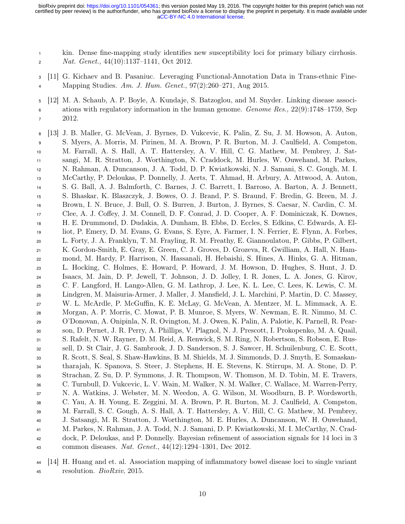kin. Dense fine-mapping study identifies new susceptibility loci for primary biliary cirrhosis.

- Nat. Genet., 44(10):1137–1141, Oct 2012.
- <span id="page-9-0"></span> [11] G. Kichaev and B. Pasaniuc. Leveraging Functional-Annotation Data in Trans-ethnic Fine-Mapping Studies. Am. J. Hum. Genet., 97(2):260–271, Aug 2015.
- <span id="page-9-1"></span> [12] M. A. Schaub, A. P. Boyle, A. Kundaje, S. Batzoglou, and M. Snyder. Linking disease associ- ations with regulatory information in the human genome. Genome Res., 22(9):1748–1759, Sep 2012.
- <span id="page-9-2"></span> [13] J. B. Maller, G. McVean, J. Byrnes, D. Vukcevic, K. Palin, Z. Su, J. M. Howson, A. Auton, S. Myers, A. Morris, M. Pirinen, M. A. Brown, P. R. Burton, M. J. Caulfield, A. Compston, M. Farrall, A. S. Hall, A. T. Hattersley, A. V. Hill, C. G. Mathew, M. Pembrey, J. Sat- sangi, M. R. Stratton, J. Worthington, N. Craddock, M. Hurles, W. Ouwehand, M. Parkes, N. Rahman, A. Duncanson, J. A. Todd, D. P. Kwiatkowski, N. J. Samani, S. C. Gough, M. I. McCarthy, P. Deloukas, P. Donnelly, J. Aerts, T. Ahmad, H. Arbury, A. Attwood, A. Auton, S. G. Ball, A. J. Balmforth, C. Barnes, J. C. Barrett, I. Barroso, A. Barton, A. J. Bennett, S. Bhaskar, K. Blaszczyk, J. Bowes, O. J. Brand, P. S. Braund, F. Bredin, G. Breen, M. J. Brown, I. N. Bruce, J. Bull, O. S. Burren, J. Burton, J. Byrnes, S. Caesar, N. Cardin, C. M. Clee, A. J. Coffey, J. M. Connell, D. F. Conrad, J. D. Cooper, A. F. Dominiczak, K. Downes, H. E. Drummond, D. Dudakia, A. Dunham, B. Ebbs, D. Eccles, S. Edkins, C. Edwards, A. El- liot, P. Emery, D. M. Evans, G. Evans, S. Eyre, A. Farmer, I. N. Ferrier, E. Flynn, A. Forbes, L. Forty, J. A. Franklyn, T. M. Frayling, R. M. Freathy, E. Giannoulatou, P. Gibbs, P. Gilbert, K. Gordon-Smith, E. Gray, E. Green, C. J. Groves, D. Grozeva, R. Gwilliam, A. Hall, N. Ham- mond, M. Hardy, P. Harrison, N. Hassanali, H. Hebaishi, S. Hines, A. Hinks, G. A. Hitman, L. Hocking, C. Holmes, E. Howard, P. Howard, J. M. Howson, D. Hughes, S. Hunt, J. D. Isaacs, M. Jain, D. P. Jewell, T. Johnson, J. D. Jolley, I. R. Jones, L. A. Jones, G. Kirov, C. F. Langford, H. Lango-Allen, G. M. Lathrop, J. Lee, K. L. Lee, C. Lees, K. Lewis, C. M. Lindgren, M. Maisuria-Armer, J. Maller, J. Mansfield, J. L. Marchini, P. Martin, D. C. Massey, W. L. McArdle, P. McGuffin, K. E. McLay, G. McVean, A. Mentzer, M. L. Mimmack, A. E. Morgan, A. P. Morris, C. Mowat, P. B. Munroe, S. Myers, W. Newman, E. R. Nimmo, M. C. O'Donovan, A. Onipinla, N. R. Ovington, M. J. Owen, K. Palin, A. Palotie, K. Parnell, R. Pear- son, D. Pernet, J. R. Perry, A. Phillips, V. Plagnol, N. J. Prescott, I. Prokopenko, M. A. Quail, S. Rafelt, N. W. Rayner, D. M. Reid, A. Renwick, S. M. Ring, N. Robertson, S. Robson, E. Rus- sell, D. St Clair, J. G. Sambrook, J. D. Sanderson, S. J. Sawcer, H. Schuilenburg, C. E. Scott, R. Scott, S. Seal, S. Shaw-Hawkins, B. M. Shields, M. J. Simmonds, D. J. Smyth, E. Somaskan- tharajah, K. Spanova, S. Steer, J. Stephens, H. E. Stevens, K. Stirrups, M. A. Stone, D. P. Strachan, Z. Su, D. P. Symmons, J. R. Thompson, W. Thomson, M. D. Tobin, M. E. Travers, C. Turnbull, D. Vukcevic, L. V. Wain, M. Walker, N. M. Walker, C. Wallace, M. Warren-Perry, N. A. Watkins, J. Webster, M. N. Weedon, A. G. Wilson, M. Woodburn, B. P. Wordsworth, C. Yau, A. H. Young, E. Zeggini, M. A. Brown, P. R. Burton, M. J. Caulfield, A. Compston, M. Farrall, S. C. Gough, A. S. Hall, A. T. Hattersley, A. V. Hill, C. G. Mathew, M. Pembrey, J. Satsangi, M. R. Stratton, J. Worthington, M. E. Hurles, A. Duncanson, W. H. Ouwehand, M. Parkes, N. Rahman, J. A. Todd, N. J. Samani, D. P. Kwiatkowski, M. I. McCarthy, N. Crad- dock, P. Deloukas, and P. Donnelly. Bayesian refinement of association signals for 14 loci in 3 common diseases. Nat. Genet., 44(12):1294–1301, Dec 2012.

<span id="page-9-3"></span> [14] H. Huang and et. al. Association mapping of inflammatory bowel disease loci to single variant resolution. BioRxiv, 2015.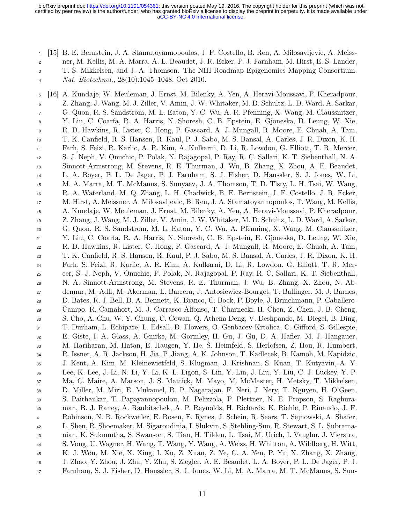<span id="page-10-0"></span> [15] B. E. Bernstein, J. A. Stamatoyannopoulos, J. F. Costello, B. Ren, A. Milosavljevic, A. Meiss- ner, M. Kellis, M. A. Marra, A. L. Beaudet, J. R. Ecker, P. J. Farnham, M. Hirst, E. S. Lander, T. S. Mikkelsen, and J. A. Thomson. The NIH Roadmap Epigenomics Mapping Consortium. Nat. Biotechnol., 28(10):1045–1048, Oct 2010.

<span id="page-10-1"></span> [16] A. Kundaje, W. Meuleman, J. Ernst, M. Bilenky, A. Yen, A. Heravi-Moussavi, P. Kheradpour, Z. Zhang, J. Wang, M. J. Ziller, V. Amin, J. W. Whitaker, M. D. Schultz, L. D. Ward, A. Sarkar, G. Quon, R. S. Sandstrom, M. L. Eaton, Y. C. Wu, A. R. Pfenning, X. Wang, M. Claussnitzer, Y. Liu, C. Coarfa, R. A. Harris, N. Shoresh, C. B. Epstein, E. Gjoneska, D. Leung, W. Xie, R. D. Hawkins, R. Lister, C. Hong, P. Gascard, A. J. Mungall, R. Moore, E. Chuah, A. Tam, T. K. Canfield, R. S. Hansen, R. Kaul, P. J. Sabo, M. S. Bansal, A. Carles, J. R. Dixon, K. H. Farh, S. Feizi, R. Karlic, A. R. Kim, A. Kulkarni, D. Li, R. Lowdon, G. Elliott, T. R. Mercer, S. J. Neph, V. Onuchic, P. Polak, N. Rajagopal, P. Ray, R. C. Sallari, K. T. Siebenthall, N. A. Sinnott-Armstrong, M. Stevens, R. E. Thurman, J. Wu, B. Zhang, X. Zhou, A. E. Beaudet, L. A. Boyer, P. L. De Jager, P. J. Farnham, S. J. Fisher, D. Haussler, S. J. Jones, W. Li, M. A. Marra, M. T. McManus, S. Sunyaev, J. A. Thomson, T. D. Tlsty, L. H. Tsai, W. Wang, R. A. Waterland, M. Q. Zhang, L. H. Chadwick, B. E. Bernstein, J. F. Costello, J. R. Ecker, M. Hirst, A. Meissner, A. Milosavljevic, B. Ren, J. A. Stamatoyannopoulos, T. Wang, M. Kellis, A. Kundaje, W. Meuleman, J. Ernst, M. Bilenky, A. Yen, A. Heravi-Moussavi, P. Kheradpour, Z. Zhang, J. Wang, M. J. Ziller, V. Amin, J. W. Whitaker, M. D. Schultz, L. D. Ward, A. Sarkar, G. Quon, R. S. Sandstrom, M. L. Eaton, Y. C. Wu, A. Pfenning, X. Wang, M. Claussnitzer, Y. Liu, C. Coarfa, R. A. Harris, N. Shoresh, C. B. Epstein, E. Gjoneska, D. Leung, W. Xie, R. D. Hawkins, R. Lister, C. Hong, P. Gascard, A. J. Mungall, R. Moore, E. Chuah, A. Tam, T. K. Canfield, R. S. Hansen, R. Kaul, P. J. Sabo, M. S. Bansal, A. Carles, J. R. Dixon, K. H. Farh, S. Feizi, R. Karlic, A. R. Kim, A. Kulkarni, D. Li, R. Lowdon, G. Elliott, T. R. Mer- cer, S. J. Neph, V. Onuchic, P. Polak, N. Rajagopal, P. Ray, R. C. Sallari, K. T. Siebenthall, N. A. Sinnott-Armstrong, M. Stevens, R. E. Thurman, J. Wu, B. Zhang, X. Zhou, N. Ab- dennur, M. Adli, M. Akerman, L. Barrera, J. Antosiewicz-Bourget, T. Ballinger, M. J. Barnes, D. Bates, R. J. Bell, D. A. Bennett, K. Bianco, C. Bock, P. Boyle, J. Brinchmann, P. Caballero- Campo, R. Camahort, M. J. Carrasco-Alfonso, T. Charnecki, H. Chen, Z. Chen, J. B. Cheng, S. Cho, A. Chu, W. Y. Chung, C. Cowan, Q. Athena Deng, V. Deshpande, M. Diegel, B. Ding, T. Durham, L. Echipare, L. Edsall, D. Flowers, O. Genbacev-Krtolica, C. Gifford, S. Gillespie, E. Giste, I. A. Glass, A. Gnirke, M. Gormley, H. Gu, J. Gu, D. A. Hafler, M. J. Hangauer, M. Hariharan, M. Hatan, E. Haugen, Y. He, S. Heimfeld, S. Herlofsen, Z. Hou, R. Humbert, R. Issner, A. R. Jackson, H. Jia, P. Jiang, A. K. Johnson, T. Kadlecek, B. Kamoh, M. Kapidzic, J. Kent, A. Kim, M. Kleinewietfeld, S. Klugman, J. Krishnan, S. Kuan, T. Kutyavin, A. Y. Lee, K. Lee, J. Li, N. Li, Y. Li, K. L. Ligon, S. Lin, Y. Lin, J. Liu, Y. Liu, C. J. Luckey, Y. P. Ma, C. Maire, A. Marson, J. S. Mattick, M. Mayo, M. McMaster, H. Metsky, T. Mikkelsen, D. Miller, M. Miri, E. Mukamel, R. P. Nagarajan, F. Neri, J. Nery, T. Nguyen, H. O'Geen, S. Paithankar, T. Papayannopoulou, M. Pelizzola, P. Plettner, N. E. Propson, S. Raghura- man, B. J. Raney, A. Raubitschek, A. P. Reynolds, H. Richards, K. Riehle, P. Rinaudo, J. F. Robinson, N. B. Rockweiler, E. Rosen, E. Rynes, J. Schein, R. Sears, T. Sejnowski, A. Shafer, L. Shen, R. Shoemaker, M. Sigaroudinia, I. Slukvin, S. Stehling-Sun, R. Stewart, S. L. Subrama- nian, K. Suknuntha, S. Swanson, S. Tian, H. Tilden, L. Tsai, M. Urich, I. Vaughn, J. Vierstra, S. Vong, U. Wagner, H. Wang, T. Wang, Y. Wang, A. Weiss, H. Whitton, A. Wildberg, H. Witt, K. J. Won, M. Xie, X. Xing, I. Xu, Z. Xuan, Z. Ye, C. A. Yen, P. Yu, X. Zhang, X. Zhang, J. Zhao, Y. Zhou, J. Zhu, Y. Zhu, S. Ziegler, A. E. Beaudet, L. A. Boyer, P. L. De Jager, P. J. Farnham, S. J. Fisher, D. Haussler, S. J. Jones, W. Li, M. A. Marra, M. T. McManus, S. Sun-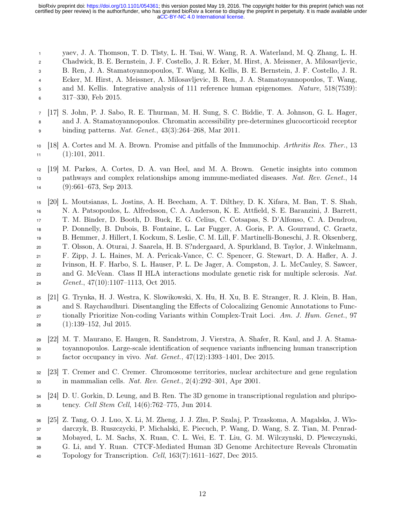yaev, J. A. Thomson, T. D. Tlsty, L. H. Tsai, W. Wang, R. A. Waterland, M. Q. Zhang, L. H. Chadwick, B. E. Bernstein, J. F. Costello, J. R. Ecker, M. Hirst, A. Meissner, A. Milosavljevic, B. Ren, J. A. Stamatoyannopoulos, T. Wang, M. Kellis, B. E. Bernstein, J. F. Costello, J. R. Ecker, M. Hirst, A. Meissner, A. Milosavljevic, B. Ren, J. A. Stamatoyannopoulos, T. Wang, and M. Kellis. Integrative analysis of 111 reference human epigenomes. Nature, 518(7539): 317–330, Feb 2015.

- <span id="page-11-0"></span> [17] S. John, P. J. Sabo, R. E. Thurman, M. H. Sung, S. C. Biddie, T. A. Johnson, G. L. Hager, and J. A. Stamatoyannopoulos. Chromatin accessibility pre-determines glucocorticoid receptor binding patterns. Nat. Genet., 43(3):264–268, Mar 2011.
- <span id="page-11-1"></span> [18] A. Cortes and M. A. Brown. Promise and pitfalls of the Immunochip. Arthritis Res. Ther., 13 (1):101, 2011.
- <span id="page-11-2"></span> [19] M. Parkes, A. Cortes, D. A. van Heel, and M. A. Brown. Genetic insights into common 13 pathways and complex relationships among immune-mediated diseases. Nat. Rev. Genet., 14 (9):661–673, Sep 2013.
- <span id="page-11-3"></span> [20] L. Moutsianas, L. Jostins, A. H. Beecham, A. T. Dilthey, D. K. Xifara, M. Ban, T. S. Shah, N. A. Patsopoulos, L. Alfredsson, C. A. Anderson, K. E. Attfield, S. E. Baranzini, J. Barrett, T. M. Binder, D. Booth, D. Buck, E. G. Celius, C. Cotsapas, S. D'Alfonso, C. A. Dendrou, P. Donnelly, B. Dubois, B. Fontaine, L. Lar Fugger, A. Goris, P. A. Gourraud, C. Graetz, B. Hemmer, J. Hillert, I. Kockum, S. Leslie, C. M. Lill, F. Martinelli-Boneschi, J. R. Oksenberg, T. Olsson, A. Oturai, J. Saarela, H. B. S?ndergaard, A. Spurkland, B. Taylor, J. Winkelmann, F. Zipp, J. L. Haines, M. A. Pericak-Vance, C. C. Spencer, G. Stewart, D. A. Hafler, A. J. Ivinson, H. F. Harbo, S. L. Hauser, P. L. De Jager, A. Compston, J. L. McCauley, S. Sawcer, and G. McVean. Class II HLA interactions modulate genetic risk for multiple sclerosis. Nat. Genet., 47(10):1107–1113, Oct 2015.
- <span id="page-11-4"></span> [21] G. Trynka, H. J. Westra, K. Slowikowski, X. Hu, H. Xu, B. E. Stranger, R. J. Klein, B. Han, and S. Raychaudhuri. Disentangling the Effects of Colocalizing Genomic Annotations to Func-27 tionally Prioritize Non-coding Variants within Complex-Trait Loci. Am. J. Hum. Genet., 97 (1):139–152, Jul 2015.
- <span id="page-11-5"></span> [22] M. T. Maurano, E. Haugen, R. Sandstrom, J. Vierstra, A. Shafer, R. Kaul, and J. A. Stama- toyannopoulos. Large-scale identification of sequence variants influencing human transcription factor occupancy in vivo. Nat. Genet., 47(12):1393–1401, Dec 2015.
- <span id="page-11-6"></span> [23] T. Cremer and C. Cremer. Chromosome territories, nuclear architecture and gene regulation  $\alpha$  in mammalian cells. *Nat. Rev. Genet.*, 2(4):292–301, Apr 2001.
- <span id="page-11-7"></span> [24] D. U. Gorkin, D. Leung, and B. Ren. The 3D genome in transcriptional regulation and pluripo-tency. Cell Stem Cell, 14(6):762–775, Jun 2014.

<span id="page-11-8"></span> [25] Z. Tang, O. J. Luo, X. Li, M. Zheng, J. J. Zhu, P. Szalaj, P. Trzaskoma, A. Magalska, J. Wlo- darczyk, B. Ruszczycki, P. Michalski, E. Piecuch, P. Wang, D. Wang, S. Z. Tian, M. Penrad- Mobayed, L. M. Sachs, X. Ruan, C. L. Wei, E. T. Liu, G. M. Wilczynski, D. Plewczynski, G. Li, and Y. Ruan. CTCF-Mediated Human 3D Genome Architecture Reveals Chromatin 40 Topology for Transcription. Cell,  $163(7):1611-1627$ , Dec 2015.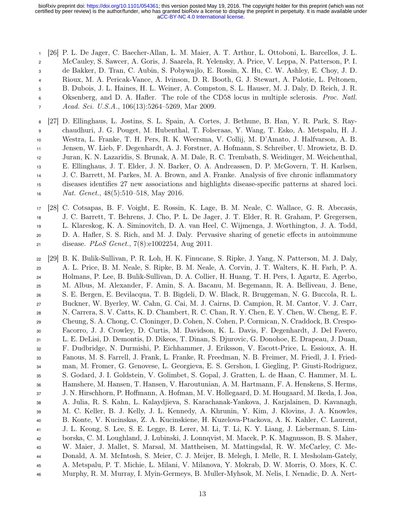<span id="page-12-0"></span> [26] P. L. De Jager, C. Baecher-Allan, L. M. Maier, A. T. Arthur, L. Ottoboni, L. Barcellos, J. L. McCauley, S. Sawcer, A. Goris, J. Saarela, R. Yelensky, A. Price, V. Leppa, N. Patterson, P. I. de Bakker, D. Tran, C. Aubin, S. Pobywajlo, E. Rossin, X. Hu, C. W. Ashley, E. Choy, J. D. Rioux, M. A. Pericak-Vance, A. Ivinson, D. R. Booth, G. J. Stewart, A. Palotie, L. Peltonen, B. Dubois, J. L. Haines, H. L. Weiner, A. Compston, S. L. Hauser, M. J. Daly, D. Reich, J. R. Oksenberg, and D. A. Hafler. The role of the CD58 locus in multiple sclerosis. Proc. Natl. Acad. Sci. U.S.A., 106(13):5264–5269, Mar 2009.

<span id="page-12-1"></span> [27] D. Ellinghaus, L. Jostins, S. L. Spain, A. Cortes, J. Bethune, B. Han, Y. R. Park, S. Ray- chaudhuri, J. G. Pouget, M. Hubenthal, T. Folseraas, Y. Wang, T. Esko, A. Metspalu, H. J. Westra, L. Franke, T. H. Pers, R. K. Weersma, V. Collij, M. D'Amato, J. Halfvarson, A. B. Jensen, W. Lieb, F. Degenhardt, A. J. Forstner, A. Hofmann, S. Schreiber, U. Mrowietz, B. D. Juran, K. N. Lazaridis, S. Brunak, A. M. Dale, R. C. Trembath, S. Weidinger, M. Weichenthal, E. Ellinghaus, J. T. Elder, J. N. Barker, O. A. Andreassen, D. P. McGovern, T. H. Karlsen, J. C. Barrett, M. Parkes, M. A. Brown, and A. Franke. Analysis of five chronic inflammatory diseases identifies 27 new associations and highlights disease-specific patterns at shared loci. Nat. Genet., 48(5):510–518, May 2016.

<span id="page-12-2"></span> [28] C. Cotsapas, B. F. Voight, E. Rossin, K. Lage, B. M. Neale, C. Wallace, G. R. Abecasis, J. C. Barrett, T. Behrens, J. Cho, P. L. De Jager, J. T. Elder, R. R. Graham, P. Gregersen, L. Klareskog, K. A. Siminovitch, D. A. van Heel, C. Wijmenga, J. Worthington, J. A. Todd, D. A. Hafler, S. S. Rich, and M. J. Daly. Pervasive sharing of genetic effects in autoimmune disease. PLoS Genet., 7(8):e1002254, Aug 2011.

<span id="page-12-3"></span> [29] B. K. Bulik-Sullivan, P. R. Loh, H. K. Finucane, S. Ripke, J. Yang, N. Patterson, M. J. Daly, A. L. Price, B. M. Neale, S. Ripke, B. M. Neale, A. Corvin, J. T. Walters, K. H. Farh, P. A. Holmans, P. Lee, B. Bulik-Sullivan, D. A. Collier, H. Huang, T. H. Pers, I. Agartz, E. Agerbo, M. Albus, M. Alexander, F. Amin, S. A. Bacanu, M. Begemann, R. A. Belliveau, J. Bene, S. E. Bergen, E. Bevilacqua, T. B. Bigdeli, D. W. Black, R. Bruggeman, N. G. Buccola, R. L. Buckner, W. Byerley, W. Cahn, G. Cai, M. J. Cairns, D. Campion, R. M. Cantor, V. J. Carr, N. Carrera, S. V. Catts, K. D. Chambert, R. C. Chan, R. Y. Chen, E. Y. Chen, W. Cheng, E. F. Cheung, S. A. Chong, C. Cloninger, D. Cohen, N. Cohen, P. Cormican, N. Craddock, B. Crespo- Facorro, J. J. Crowley, D. Curtis, M. Davidson, K. L. Davis, F. Degenhardt, J. Del Favero, L. E. DeLisi, D. Demontis, D. Dikeos, T. Dinan, S. Djurovic, G. Donohoe, E. Drapeau, J. Duan, F. Dudbridge, N. Durmishi, P. Eichhammer, J. Eriksson, V. Escott-Price, L. Essioux, A. H. Fanous, M. S. Farrell, J. Frank, L. Franke, R. Freedman, N. B. Freimer, M. Friedl, J. I. Fried- man, M. Fromer, G. Genovese, L. Georgieva, E. S. Gershon, I. Giegling, P. Giusti-Rodriguez, S. Godard, J. I. Goldstein, V. Golimbet, S. Gopal, J. Gratten, L. de Haan, C. Hammer, M. L. Hamshere, M. Hansen, T. Hansen, V. Haroutunian, A. M. Hartmann, F. A. Henskens, S. Herms, J. N. Hirschhorn, P. Hoffmann, A. Hofman, M. V. Hollegaard, D. M. Hougaard, M. Ikeda, I. Joa, A. Julia, R. S. Kahn, L. Kalaydjieva, S. Karachanak-Yankova, J. Karjalainen, D. Kavanagh, M. C. Keller, B. J. Kelly, J. L. Kennedy, A. Khrunin, Y. Kim, J. Klovins, J. A. Knowles, B. Konte, V. Kucinskas, Z. A. Kucinskiene, H. Kuzelova-Ptackova, A. K. Kahler, C. Laurent, J. L. Keong, S. Lee, S. E. Legge, B. Lerer, M. Li, T. Li, K. Y. Liang, J. Lieberman, S. Lim- borska, C. M. Loughland, J. Lubinski, J. Lonnqvist, M. Macek, P. K. Magnusson, B. S. Maher, W. Maier, J. Mallet, S. Marsal, M. Mattheisen, M. Mattingsdal, R. W. McCarley, C. Mc- Donald, A. M. McIntosh, S. Meier, C. J. Meijer, B. Melegh, I. Melle, R. I. Mesholam-Gately, A. Metspalu, P. T. Michie, L. Milani, V. Milanova, Y. Mokrab, D. W. Morris, O. Mors, K. C. Murphy, R. M. Murray, I. Myin-Germeys, B. Muller-Myhsok, M. Nelis, I. Nenadic, D. A. Nert-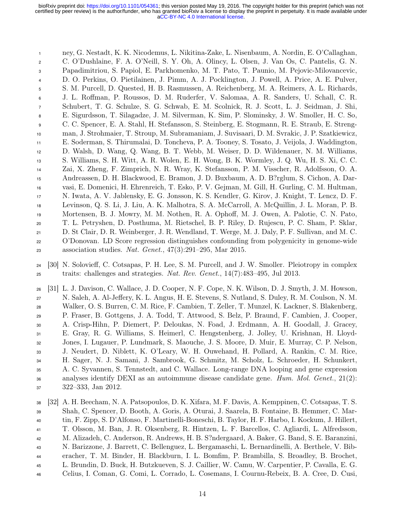ney, G. Nestadt, K. K. Nicodemus, L. Nikitina-Zake, L. Nisenbaum, A. Nordin, E. O'Callaghan, C. O'Dushlaine, F. A. O'Neill, S. Y. Oh, A. Olincy, L. Olsen, J. Van Os, C. Pantelis, G. N. Papadimitriou, S. Papiol, E. Parkhomenko, M. T. Pato, T. Paunio, M. Pejovic-Milovancevic, D. O. Perkins, O. Pietilainen, J. Pimm, A. J. Pocklington, J. Powell, A. Price, A. E. Pulver, S. M. Purcell, D. Quested, H. B. Rasmussen, A. Reichenberg, M. A. Reimers, A. L. Richards, J. L. Roffman, P. Roussos, D. M. Ruderfer, V. Salomaa, A. R. Sanders, U. Schall, C. R. Schubert, T. G. Schulze, S. G. Schwab, E. M. Scolnick, R. J. Scott, L. J. Seidman, J. Shi, E. Sigurdsson, T. Silagadze, J. M. Silverman, K. Sim, P. Slominsky, J. W. Smoller, H. C. So, C. C. Spencer, E. A. Stahl, H. Stefansson, S. Steinberg, E. Stogmann, R. E. Straub, E. Streng- man, J. Strohmaier, T. Stroup, M. Subramaniam, J. Suvisaari, D. M. Svrakic, J. P. Szatkiewicz, E. Soderman, S. Thirumalai, D. Toncheva, P. A. Tooney, S. Tosato, J. Veijola, J. Waddington, D. Walsh, D. Wang, Q. Wang, B. T. Webb, M. Weiser, D. D. Wildenauer, N. M. Williams, S. Williams, S. H. Witt, A. R. Wolen, E. H. Wong, B. K. Wormley, J. Q. Wu, H. S. Xi, C. C. Zai, X. Zheng, F. Zimprich, N. R. Wray, K. Stefansson, P. M. Visscher, R. Adolfsson, O. A. Andreassen, D. H. Blackwood, E. Bramon, J. D. Buxbaum, A. D. B?rglum, S. Cichon, A. Dar- vasi, E. Domenici, H. Ehrenreich, T. Esko, P. V. Gejman, M. Gill, H. Gurling, C. M. Hultman, N. Iwata, A. V. Jablensky, E. G. Jonsson, K. S. Kendler, G. Kirov, J. Knight, T. Lencz, D. F. Levinson, Q. S. Li, J. Liu, A. K. Malhotra, S. A. McCarroll, A. McQuillin, J. L. Moran, P. B. Mortensen, B. J. Mowry, M. M. Nothen, R. A. Ophoff, M. J. Owen, A. Palotie, C. N. Pato, T. L. Petryshen, D. Posthuma, M. Rietschel, B. P. Riley, D. Rujescu, P. C. Sham, P. Sklar, D. St Clair, D. R. Weinberger, J. R. Wendland, T. Werge, M. J. Daly, P. F. Sullivan, and M. C. O'Donovan. LD Score regression distinguishes confounding from polygenicity in genome-wide 23 association studies. Nat. Genet.,  $47(3):291-295$ , Mar 2015.

<span id="page-13-1"></span> [30] N. Solovieff, C. Cotsapas, P. H. Lee, S. M. Purcell, and J. W. Smoller. Pleiotropy in complex traits: challenges and strategies. Nat. Rev. Genet., 14(7):483–495, Jul 2013.

<span id="page-13-2"></span> [31] L. J. Davison, C. Wallace, J. D. Cooper, N. F. Cope, N. K. Wilson, D. J. Smyth, J. M. Howson, N. Saleh, A. Al-Jeffery, K. L. Angus, H. E. Stevens, S. Nutland, S. Duley, R. M. Coulson, N. M. Walker, O. S. Burren, C. M. Rice, F. Cambien, T. Zeller, T. Munzel, K. Lackner, S. Blakenberg, P. Fraser, B. Gottgens, J. A. Todd, T. Attwood, S. Belz, P. Braund, F. Cambien, J. Cooper, A. Crisp-Hihn, P. Diemert, P. Deloukas, N. Foad, J. Erdmann, A. H. Goodall, J. Gracey, E. Gray, R. G. Williams, S. Heimerl, C. Hengstenberg, J. Jolley, U. Krishnan, H. Lloyd- Jones, I. Lugauer, P. Lundmark, S. Maouche, J. S. Moore, D. Muir, E. Murray, C. P. Nelson, J. Neudert, D. Niblett, K. O'Leary, W. H. Ouwehand, H. Pollard, A. Rankin, C. M. Rice, H. Sager, N. J. Samani, J. Sambrook, G. Schmitz, M. Scholz, L. Schroeder, H. Schunkert, A. C. Syvannen, S. Tennstedt, and C. Wallace. Long-range DNA looping and gene expression analyses identify DEXI as an autoimmune disease candidate gene. Hum. Mol. Genet., 21(2): 322–333, Jan 2012.

<span id="page-13-0"></span> [32] A. H. Beecham, N. A. Patsopoulos, D. K. Xifara, M. F. Davis, A. Kemppinen, C. Cotsapas, T. S. Shah, C. Spencer, D. Booth, A. Goris, A. Oturai, J. Saarela, B. Fontaine, B. Hemmer, C. Mar- tin, F. Zipp, S. D'Alfonso, F. Martinelli-Boneschi, B. Taylor, H. F. Harbo, I. Kockum, J. Hillert, T. Olsson, M. Ban, J. R. Oksenberg, R. Hintzen, L. F. Barcellos, C. Agliardi, L. Alfredsson, M. Alizadeh, C. Anderson, R. Andrews, H. B. S?ndergaard, A. Baker, G. Band, S. E. Baranzini, N. Barizzone, J. Barrett, C. Bellenguez, L. Bergamaschi, L. Bernardinelli, A. Berthele, V. Bib- eracher, T. M. Binder, H. Blackburn, I. L. Bomfim, P. Brambilla, S. Broadley, B. Brochet, L. Brundin, D. Buck, H. Butzkueven, S. J. Caillier, W. Camu, W. Carpentier, P. Cavalla, E. G. Celius, I. Coman, G. Comi, L. Corrado, L. Cosemans, I. Cournu-Rebeix, B. A. Cree, D. Cusi,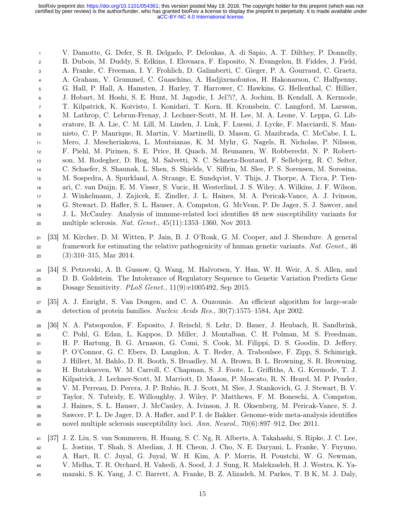V. Damotte, G. Defer, S. R. Delgado, P. Deloukas, A. di Sapio, A. T. Dilthey, P. Donnelly, B. Dubois, M. Duddy, S. Edkins, I. Elovaara, F. Esposito, N. Evangelou, B. Fiddes, J. Field, A. Franke, C. Freeman, I. Y. Frohlich, D. Galimberti, C. Gieger, P. A. Gourraud, C. Graetz, A. Graham, V. Grummel, C. Guaschino, A. Hadjixenofontos, H. Hakonarson, C. Halfpenny, G. Hall, P. Hall, A. Hamsten, J. Harley, T. Harrower, C. Hawkins, G. Hellenthal, C. Hillier, J. Hobart, M. Hoshi, S. E. Hunt, M. Jagodic, I. Jel?i?, A. Jochim, B. Kendall, A. Kermode, T. Kilpatrick, K. Koivisto, I. Konidari, T. Korn, H. Kronsbein, C. Langford, M. Larsson, M. Lathrop, C. Lebrun-Frenay, J. Lechner-Scott, M. H. Lee, M. A. Leone, V. Leppa, G. Lib- eratore, B. A. Lie, C. M. Lill, M. Linden, J. Link, F. Luessi, J. Lycke, F. Macciardi, S. Man- nisto, C. P. Manrique, R. Martin, V. Martinelli, D. Mason, G. Mazibrada, C. McCabe, I. L. Mero, J. Mescheriakova, L. Moutsianas, K. M. Myhr, G. Nagels, R. Nicholas, P. Nilsson, F. Piehl, M. Pirinen, S. E. Price, H. Quach, M. Reunanen, W. Robberecht, N. P. Robert- son, M. Rodegher, D. Rog, M. Salvetti, N. C. Schnetz-Boutaud, F. Sellebjerg, R. C. Selter, C. Schaefer, S. Shaunak, L. Shen, S. Shields, V. Siffrin, M. Slee, P. S. Sorensen, M. Sorosina, M. Sospedra, A. Spurkland, A. Strange, E. Sundqvist, V. Thijs, J. Thorpe, A. Ticca, P. Tien- ari, C. van Duijn, E. M. Visser, S. Vucic, H. Westerlind, J. S. Wiley, A. Wilkins, J. F. Wilson, J. Winkelmann, J. Zajicek, E. Zindler, J. L. Haines, M. A. Pericak-Vance, A. J. Ivinson, G. Stewart, D. Hafler, S. L. Hauser, A. Compston, G. McVean, P. De Jager, S. J. Sawcer, and J. L. McCauley. Analysis of immune-related loci identifies 48 new susceptibility variants for 20 multiple sclerosis. Nat. Genet.,  $45(11):1353-1360$ , Nov 2013.

- <span id="page-14-0"></span> [33] M. Kircher, D. M. Witten, P. Jain, B. J. O'Roak, G. M. Cooper, and J. Shendure. A general framework for estimating the relative pathogenicity of human genetic variants. Nat. Genet., 46 23 (3):310–315, Mar 2014.
- <span id="page-14-1"></span> [34] S. Petrovski, A. B. Gussow, Q. Wang, M. Halvorsen, Y. Han, W. H. Weir, A. S. Allen, and D. B. Goldstein. The Intolerance of Regulatory Sequence to Genetic Variation Predicts Gene Dosage Sensitivity. PLoS Genet., 11(9):e1005492, Sep 2015.
- <span id="page-14-2"></span> [35] A. J. Enright, S. Van Dongen, and C. A. Ouzounis. An efficient algorithm for large-scale detection of protein families. Nucleic Acids Res., 30(7):1575–1584, Apr 2002.
- <span id="page-14-3"></span> [36] N. A. Patsopoulos, F. Esposito, J. Reischl, S. Lehr, D. Bauer, J. Heubach, R. Sandbrink, C. Pohl, G. Edan, L. Kappos, D. Miller, J. Montalban, C. H. Polman, M. S. Freedman, H. P. Hartung, B. G. Arnason, G. Comi, S. Cook, M. Filippi, D. S. Goodin, D. Jeffery, P. O'Connor, G. C. Ebers, D. Langdon, A. T. Reder, A. Traboulsee, F. Zipp, S. Schimrigk, J. Hillert, M. Bahlo, D. R. Booth, S. Broadley, M. A. Brown, B. L. Browning, S. R. Browning, H. Butzkueven, W. M. Carroll, C. Chapman, S. J. Foote, L. Griffiths, A. G. Kermode, T. J. Kilpatrick, J. Lechner-Scott, M. Marriott, D. Mason, P. Moscato, R. N. Heard, M. P. Pender, V. M. Perreau, D. Perera, J. P. Rubio, R. J. Scott, M. Slee, J. Stankovich, G. J. Stewart, B. V. Taylor, N. Tubridy, E. Willoughby, J. Wiley, P. Matthews, F. M. Boneschi, A. Compston, J. Haines, S. L. Hauser, J. McCauley, A. Ivinson, J. R. Oksenberg, M. Pericak-Vance, S. J. Sawcer, P. L. De Jager, D. A. Hafler, and P. I. de Bakker. Genome-wide meta-analysis identifies novel multiple sclerosis susceptibility loci. Ann. Neurol., 70(6):897–912, Dec 2011.
- <span id="page-14-4"></span> [37] J. Z. Liu, S. van Sommeren, H. Huang, S. C. Ng, R. Alberts, A. Takahashi, S. Ripke, J. C. Lee, L. Jostins, T. Shah, S. Abedian, J. H. Cheon, J. Cho, N. E. Daryani, L. Franke, Y. Fuyuno, A. Hart, R. C. Juyal, G. Juyal, W. H. Kim, A. P. Morris, H. Poustchi, W. G. Newman, V. Midha, T. R. Orchard, H. Vahedi, A. Sood, J. J. Sung, R. Malekzadeh, H. J. Westra, K. Ya-mazaki, S. K. Yang, J. C. Barrett, A. Franke, B. Z. Alizadeh, M. Parkes, T. B K, M. J. Daly,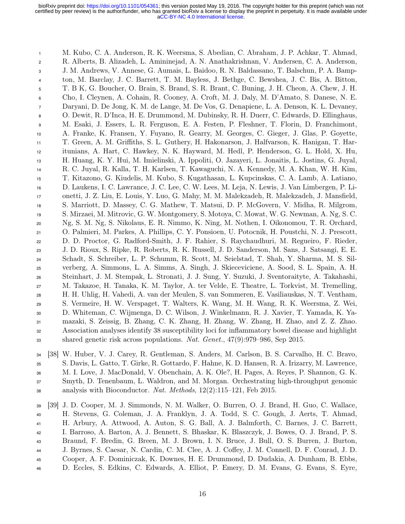M. Kubo, C. A. Anderson, R. K. Weersma, S. Abedian, C. Abraham, J. P. Achkar, T. Ahmad, R. Alberts, B. Alizadeh, L. Amininejad, A. N. Anathakrishnan, V. Andersen, C. A. Anderson, J. M. Andrews, V. Annese, G. Aumais, L. Baidoo, R. N. Baldassano, T. Balschun, P. A. Bamp- ton, M. Barclay, J. C. Barrett, T. M. Bayless, J. Bethge, C. Bewshea, J. C. Bis, A. Bitton, T. B K, G. Boucher, O. Brain, S. Brand, S. R. Brant, C. Buning, J. H. Cheon, A. Chew, J. H. Cho, I. Cleynen, A. Cohain, R. Cooney, A. Croft, M. J. Daly, M. D'Amato, S. Danese, N. E. Daryani, D. De Jong, K. M. de Lange, M. De Vos, G. Denapiene, L. A. Denson, K. L. Devaney, O. Dewit, R. D'Inca, H. E. Drummond, M. Dubinsky, R. H. Duerr, C. Edwards, D. Ellinghaus, M. Esaki, J. Essers, L. R. Ferguson, E. A. Festen, P. Fleshner, T. Florin, D. Franchimont, A. Franke, K. Fransen, Y. Fuyano, R. Gearry, M. Georges, C. Gieger, J. Glas, P. Goyette, T. Green, A. M. Griffiths, S. L. Guthery, H. Hakonarson, J. Halfvarson, K. Hanigan, T. Har- itunians, A. Hart, C. Hawkey, N. K. Hayward, M. Hedl, P. Henderson, G. L. Hold, X. Hu, H. Huang, K. Y. Hui, M. Imielinski, A. Ippoliti, O. Jazayeri, L. Jonaitis, L. Jostins, G. Juyal, R. C. Juyal, R. Kalla, T. H. Karlsen, T. Kawaguchi, N. A. Kennedy, M. A. Khan, W. H. Kim, T. Kitazono, G. Kiudelis, M. Kubo, S. Kugathasan, L. Kupcinskas, C. A. Lamb, A. Latiano, D. Laukens, I. C. Lawrance, J. C. Lee, C. W. Lees, M. Leja, N. Lewis, J. Van Limbergen, P. Li- onetti, J. Z. Liu, E. Louis, Y. Luo, G. Mahy, M. M. Malekzadeh, R. Malekzadeh, J. Mansfield, S. Marriott, D. Massey, C. G. Mathew, T. Matsui, D. P. McGovern, V. Midha, R. Milgrom, S. Mirzaei, M. Mitrovic, G. W. Montgomery, S. Motoya, C. Mowat, W. G. Newman, A. Ng, S. C. Ng, S. M. Ng, S. Nikolaus, E. R. Nimmo, K. Ning, M. Nothen, I. Oikonomou, T. R. Orchard, O. Palmieri, M. Parkes, A. Phillips, C. Y. Ponsioen, U. Potocnik, H. Poustchi, N. J. Prescott, D. D. Proctor, G. Radford-Smith, J. F. Rahier, S. Raychaudhuri, M. Regueiro, F. Rieder, J. D. Rioux, S. Ripke, R. Roberts, R. K. Russell, J. D. Sanderson, M. Sans, J. Satsangi, E. E. Schadt, S. Schreiber, L. P. Schumm, R. Scott, M. Seielstad, T. Shah, Y. Sharma, M. S. Sil- verberg, A. Simmons, L. A. Simms, A. Singh, J. Skieceviciene, A. Sood, S. L. Spain, A. H. Steinhart, J. M. Stempak, L. Stronati, J. J. Sung, Y. Suzuki, J. Sventoraityte, A. Takahashi, M. Takazoe, H. Tanaka, K. M. Taylor, A. ter Velde, E. Theatre, L. Torkvist, M. Tremelling, H. H. Uhlig, H. Vahedi, A. van der Meulen, S. van Sommeren, E. Vasiliauskas, N. T. Ventham, S. Vermeire, H. W. Verspaget, T. Walters, K. Wang, M. H. Wang, R. K. Weersma, Z. Wei, D. Whiteman, C. Wijmenga, D. C. Wilson, J. Winkelmann, R. J. Xavier, T. Yamada, K. Ya- mazaki, S. Zeissig, B. Zhang, C. K. Zhang, H. Zhang, W. Zhang, H. Zhao, and Z. Z. Zhao. Association analyses identify 38 susceptibility loci for inflammatory bowel disease and highlight shared genetic risk across populations. Nat. Genet., 47(9):979–986, Sep 2015.

<span id="page-15-0"></span> [38] W. Huber, V. J. Carey, R. Gentleman, S. Anders, M. Carlson, B. S. Carvalho, H. C. Bravo, S. Davis, L. Gatto, T. Girke, R. Gottardo, F. Hahne, K. D. Hansen, R. A. Irizarry, M. Lawrence, M. I. Love, J. MacDonald, V. Obenchain, A. K. Ole?, H. Pages, A. Reyes, P. Shannon, G. K. Smyth, D. Tenenbaum, L. Waldron, and M. Morgan. Orchestrating high-throughput genomic analysis with Bioconductor. Nat. Methods, 12(2):115–121, Feb 2015.

<span id="page-15-1"></span> [39] J. D. Cooper, M. J. Simmonds, N. M. Walker, O. Burren, O. J. Brand, H. Guo, C. Wallace, H. Stevens, G. Coleman, J. A. Franklyn, J. A. Todd, S. C. Gough, J. Aerts, T. Ahmad, H. Arbury, A. Attwood, A. Auton, S. G. Ball, A. J. Balmforth, C. Barnes, J. C. Barrett, I. Barroso, A. Barton, A. J. Bennett, S. Bhaskar, K. Blaszczyk, J. Bowes, O. J. Brand, P. S. Braund, F. Bredin, G. Breen, M. J. Brown, I. N. Bruce, J. Bull, O. S. Burren, J. Burton, J. Byrnes, S. Caesar, N. Cardin, C. M. Clee, A. J. Coffey, J. M. Connell, D. F. Conrad, J. D. Cooper, A. F. Dominiczak, K. Downes, H. E. Drummond, D. Dudakia, A. Dunham, B. Ebbs, D. Eccles, S. Edkins, C. Edwards, A. Elliot, P. Emery, D. M. Evans, G. Evans, S. Eyre,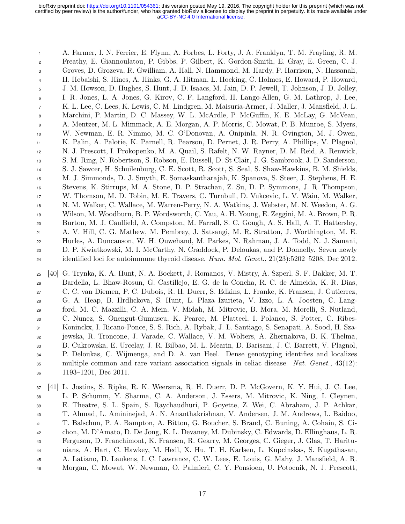A. Farmer, I. N. Ferrier, E. Flynn, A. Forbes, L. Forty, J. A. Franklyn, T. M. Frayling, R. M. Freathy, E. Giannoulatou, P. Gibbs, P. Gilbert, K. Gordon-Smith, E. Gray, E. Green, C. J. Groves, D. Grozeva, R. Gwilliam, A. Hall, N. Hammond, M. Hardy, P. Harrison, N. Hassanali, H. Hebaishi, S. Hines, A. Hinks, G. A. Hitman, L. Hocking, C. Holmes, E. Howard, P. Howard, J. M. Howson, D. Hughes, S. Hunt, J. D. Isaacs, M. Jain, D. P. Jewell, T. Johnson, J. D. Jolley, I. R. Jones, L. A. Jones, G. Kirov, C. F. Langford, H. Lango-Allen, G. M. Lathrop, J. Lee, K. L. Lee, C. Lees, K. Lewis, C. M. Lindgren, M. Maisuria-Armer, J. Maller, J. Mansfield, J. L. Marchini, P. Martin, D. C. Massey, W. L. McArdle, P. McGuffin, K. E. McLay, G. McVean, A. Mentzer, M. L. Mimmack, A. E. Morgan, A. P. Morris, C. Mowat, P. B. Munroe, S. Myers, W. Newman, E. R. Nimmo, M. C. O'Donovan, A. Onipinla, N. R. Ovington, M. J. Owen, K. Palin, A. Palotie, K. Parnell, R. Pearson, D. Pernet, J. R. Perry, A. Phillips, V. Plagnol, N. J. Prescott, I. Prokopenko, M. A. Quail, S. Rafelt, N. W. Rayner, D. M. Reid, A. Renwick, S. M. Ring, N. Robertson, S. Robson, E. Russell, D. St Clair, J. G. Sambrook, J. D. Sanderson, S. J. Sawcer, H. Schuilenburg, C. E. Scott, R. Scott, S. Seal, S. Shaw-Hawkins, B. M. Shields, M. J. Simmonds, D. J. Smyth, E. Somaskantharajah, K. Spanova, S. Steer, J. Stephens, H. E. Stevens, K. Stirrups, M. A. Stone, D. P. Strachan, Z. Su, D. P. Symmons, J. R. Thompson, W. Thomson, M. D. Tobin, M. E. Travers, C. Turnbull, D. Vukcevic, L. V. Wain, M. Walker, N. M. Walker, C. Wallace, M. Warren-Perry, N. A. Watkins, J. Webster, M. N. Weedon, A. G. Wilson, M. Woodburn, B. P. Wordsworth, C. Yau, A. H. Young, E. Zeggini, M. A. Brown, P. R. Burton, M. J. Caulfield, A. Compston, M. Farrall, S. C. Gough, A. S. Hall, A. T. Hattersley, A. V. Hill, C. G. Mathew, M. Pembrey, J. Satsangi, M. R. Stratton, J. Worthington, M. E. Hurles, A. Duncanson, W. H. Ouwehand, M. Parkes, N. Rahman, J. A. Todd, N. J. Samani, D. P. Kwiatkowski, M. I. McCarthy, N. Craddock, P. Deloukas, and P. Donnelly. Seven newly <sup>24</sup> identified loci for autoimmune thyroid disease. Hum. Mol. Genet., 21(23):5202–5208, Dec 2012.

<span id="page-16-0"></span> [40] G. Trynka, K. A. Hunt, N. A. Bockett, J. Romanos, V. Mistry, A. Szperl, S. F. Bakker, M. T. Bardella, L. Bhaw-Rosun, G. Castillejo, E. G. de la Concha, R. C. de Almeida, K. R. Dias, C. C. van Diemen, P. C. Dubois, R. H. Duerr, S. Edkins, L. Franke, K. Fransen, J. Gutierrez, G. A. Heap, B. Hrdlickova, S. Hunt, L. Plaza Izurieta, V. Izzo, L. A. Joosten, C. Lang- ford, M. C. Mazzilli, C. A. Mein, V. Midah, M. Mitrovic, B. Mora, M. Morelli, S. Nutland, C. Nunez, S. Onengut-Gumuscu, K. Pearce, M. Platteel, I. Polanco, S. Potter, C. Ribes- Koninckx, I. Ricano-Ponce, S. S. Rich, A. Rybak, J. L. Santiago, S. Senapati, A. Sood, H. Sza- jewska, R. Troncone, J. Varade, C. Wallace, V. M. Wolters, A. Zhernakova, B. K. Thelma, B. Cukrowska, E. Urcelay, J. R. Bilbao, M. L. Mearin, D. Barisani, J. C. Barrett, V. Plagnol, P. Deloukas, C. Wijmenga, and D. A. van Heel. Dense genotyping identifies and localizes multiple common and rare variant association signals in celiac disease. Nat. Genet., 43(12): 1193–1201, Dec 2011.

<span id="page-16-1"></span> [41] L. Jostins, S. Ripke, R. K. Weersma, R. H. Duerr, D. P. McGovern, K. Y. Hui, J. C. Lee, L. P. Schumm, Y. Sharma, C. A. Anderson, J. Essers, M. Mitrovic, K. Ning, I. Cleynen, E. Theatre, S. L. Spain, S. Raychaudhuri, P. Goyette, Z. Wei, C. Abraham, J. P. Achkar, T. Ahmad, L. Amininejad, A. N. Ananthakrishnan, V. Andersen, J. M. Andrews, L. Baidoo, T. Balschun, P. A. Bampton, A. Bitton, G. Boucher, S. Brand, C. Buning, A. Cohain, S. Ci- chon, M. D'Amato, D. De Jong, K. L. Devaney, M. Dubinsky, C. Edwards, D. Ellinghaus, L. R. Ferguson, D. Franchimont, K. Fransen, R. Gearry, M. Georges, C. Gieger, J. Glas, T. Haritu- nians, A. Hart, C. Hawkey, M. Hedl, X. Hu, T. H. Karlsen, L. Kupcinskas, S. Kugathasan, A. Latiano, D. Laukens, I. C. Lawrance, C. W. Lees, E. Louis, G. Mahy, J. Mansfield, A. R. Morgan, C. Mowat, W. Newman, O. Palmieri, C. Y. Ponsioen, U. Potocnik, N. J. Prescott,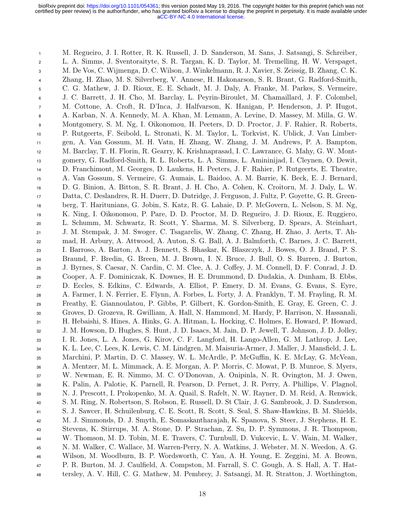M. Regueiro, J. I. Rotter, R. K. Russell, J. D. Sanderson, M. Sans, J. Satsangi, S. Schreiber, L. A. Simms, J. Sventoraityte, S. R. Targan, K. D. Taylor, M. Tremelling, H. W. Verspaget, M. De Vos, C. Wijmenga, D. C. Wilson, J. Winkelmann, R. J. Xavier, S. Zeissig, B. Zhang, C. K. Zhang, H. Zhao, M. S. Silverberg, V. Annese, H. Hakonarson, S. R. Brant, G. Radford-Smith, C. G. Mathew, J. D. Rioux, E. E. Schadt, M. J. Daly, A. Franke, M. Parkes, S. Vermeire, J. C. Barrett, J. H. Cho, M. Barclay, L. Peyrin-Biroulet, M. Chamaillard, J. F. Colombel, M. Cottone, A. Croft, R. D'Inca, J. Halfvarson, K. Hanigan, P. Henderson, J. P. Hugot, A. Karban, N. A. Kennedy, M. A. Khan, M. Lemann, A. Levine, D. Massey, M. Milla, G. W. Montgomery, S. M. Ng, I. Oikonomou, H. Peeters, D. D. Proctor, J. F. Rahier, R. Roberts, P. Rutgeerts, F. Seibold, L. Stronati, K. M. Taylor, L. Torkvist, K. Ublick, J. Van Limber- gen, A. Van Gossum, M. H. Vatn, H. Zhang, W. Zhang, J. M. Andrews, P. A. Bampton, M. Barclay, T. H. Florin, R. Gearry, K. Krishnaprasad, I. C. Lawrance, G. Mahy, G. W. Mont- gomery, G. Radford-Smith, R. L. Roberts, L. A. Simms, L. Amininijad, I. Cleynen, O. Dewit, D. Franchimont, M. Georges, D. Laukens, H. Peeters, J. F. Rahier, P. Rutgeerts, E. Theatre, A. Van Gossum, S. Vermeire, G. Aumais, L. Baidoo, A. M. Barrie, K. Beck, E. J. Bernard, D. G. Binion, A. Bitton, S. R. Brant, J. H. Cho, A. Cohen, K. Croitoru, M. J. Daly, L. W. Datta, C. Deslandres, R. H. Duerr, D. Dutridge, J. Ferguson, J. Fultz, P. Goyette, G. R. Green- berg, T. Haritunians, G. Jobin, S. Katz, R. G. Lahaie, D. P. McGovern, L. Nelson, S. M. Ng, K. Ning, I. Oikonomou, P. Pare, D. D. Proctor, M. D. Regueiro, J. D. Rioux, E. Ruggiero, L. Schumm, M. Schwartz, R. Scott, Y. Sharma, M. S. Silverberg, D. Spears, A. Steinhart, J. M. Stempak, J. M. Swoger, C. Tsagarelis, W. Zhang, C. Zhang, H. Zhao, J. Aerts, T. Ah- mad, H. Arbury, A. Attwood, A. Auton, S. G. Ball, A. J. Balmforth, C. Barnes, J. C. Barrett, I. Barroso, A. Barton, A. J. Bennett, S. Bhaskar, K. Blaszczyk, J. Bowes, O. J. Brand, P. S. Braund, F. Bredin, G. Breen, M. J. Brown, I. N. Bruce, J. Bull, O. S. Burren, J. Burton, J. Byrnes, S. Caesar, N. Cardin, C. M. Clee, A. J. Coffey, J. M. Connell, D. F. Conrad, J. D. Cooper, A. F. Dominiczak, K. Downes, H. E. Drummond, D. Dudakia, A. Dunham, B. Ebbs, D. Eccles, S. Edkins, C. Edwards, A. Elliot, P. Emery, D. M. Evans, G. Evans, S. Eyre, A. Farmer, I. N. Ferrier, E. Flynn, A. Forbes, L. Forty, J. A. Franklyn, T. M. Frayling, R. M. Freathy, E. Giannoulatou, P. Gibbs, P. Gilbert, K. Gordon-Smith, E. Gray, E. Green, C. J. Groves, D. Grozeva, R. Gwilliam, A. Hall, N. Hammond, M. Hardy, P. Harrison, N. Hassanali, H. Hebaishi, S. Hines, A. Hinks, G. A. Hitman, L. Hocking, C. Holmes, E. Howard, P. Howard, J. M. Howson, D. Hughes, S. Hunt, J. D. Isaacs, M. Jain, D. P. Jewell, T. Johnson, J. D. Jolley, I. R. Jones, L. A. Jones, G. Kirov, C. F. Langford, H. Lango-Allen, G. M. Lathrop, J. Lee, K. L. Lee, C. Lees, K. Lewis, C. M. Lindgren, M. Maisuria-Armer, J. Maller, J. Mansfield, J. L. Marchini, P. Martin, D. C. Massey, W. L. McArdle, P. McGuffin, K. E. McLay, G. McVean, A. Mentzer, M. L. Mimmack, A. E. Morgan, A. P. Morris, C. Mowat, P. B. Munroe, S. Myers, W. Newman, E. R. Nimmo, M. C. O'Donovan, A. Onipinla, N. R. Ovington, M. J. Owen, K. Palin, A. Palotie, K. Parnell, R. Pearson, D. Pernet, J. R. Perry, A. Phillips, V. Plagnol, N. J. Prescott, I. Prokopenko, M. A. Quail, S. Rafelt, N. W. Rayner, D. M. Reid, A. Renwick, S. M. Ring, N. Robertson, S. Robson, E. Russell, D. St Clair, J. G. Sambrook, J. D. Sanderson, S. J. Sawcer, H. Schuilenburg, C. E. Scott, R. Scott, S. Seal, S. Shaw-Hawkins, B. M. Shields, M. J. Simmonds, D. J. Smyth, E. Somaskantharajah, K. Spanova, S. Steer, J. Stephens, H. E. Stevens, K. Stirrups, M. A. Stone, D. P. Strachan, Z. Su, D. P. Symmons, J. R. Thompson, W. Thomson, M. D. Tobin, M. E. Travers, C. Turnbull, D. Vukcevic, L. V. Wain, M. Walker, N. M. Walker, C. Wallace, M. Warren-Perry, N. A. Watkins, J. Webster, M. N. Weedon, A. G. Wilson, M. Woodburn, B. P. Wordsworth, C. Yau, A. H. Young, E. Zeggini, M. A. Brown, P. R. Burton, M. J. Caulfield, A. Compston, M. Farrall, S. C. Gough, A. S. Hall, A. T. Hat-tersley, A. V. Hill, C. G. Mathew, M. Pembrey, J. Satsangi, M. R. Stratton, J. Worthington,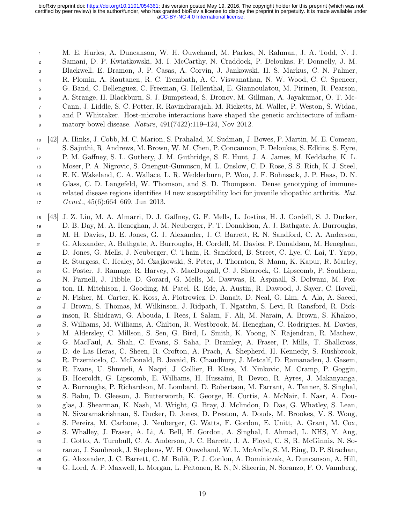M. E. Hurles, A. Duncanson, W. H. Ouwehand, M. Parkes, N. Rahman, J. A. Todd, N. J. Samani, D. P. Kwiatkowski, M. I. McCarthy, N. Craddock, P. Deloukas, P. Donnelly, J. M. Blackwell, E. Bramon, J. P. Casas, A. Corvin, J. Jankowski, H. S. Markus, C. N. Palmer, R. Plomin, A. Rautanen, R. C. Trembath, A. C. Viswanathan, N. W. Wood, C. C. Spencer, G. Band, C. Bellenguez, C. Freeman, G. Hellenthal, E. Giannoulatou, M. Pirinen, R. Pearson, A. Strange, H. Blackburn, S. J. Bumpstead, S. Dronov, M. Gillman, A. Jayakumar, O. T. Mc- Cann, J. Liddle, S. C. Potter, R. Ravindrarajah, M. Ricketts, M. Waller, P. Weston, S. Widaa, and P. Whittaker. Host-microbe interactions have shaped the genetic architecture of inflam-9 matory bowel disease. *Nature*,  $491(7422):119-124$ , Nov 2012.

<span id="page-18-0"></span> [42] A. Hinks, J. Cobb, M. C. Marion, S. Prahalad, M. Sudman, J. Bowes, P. Martin, M. E. Comeau, S. Sajuthi, R. Andrews, M. Brown, W. M. Chen, P. Concannon, P. Deloukas, S. Edkins, S. Eyre, P. M. Gaffney, S. L. Guthery, J. M. Guthridge, S. E. Hunt, J. A. James, M. Keddache, K. L. Moser, P. A. Nigrovic, S. Onengut-Gumuscu, M. L. Onslow, C. D. Rose, S. S. Rich, K. J. Steel, E. K. Wakeland, C. A. Wallace, L. R. Wedderburn, P. Woo, J. F. Bohnsack, J. P. Haas, D. N. Glass, C. D. Langefeld, W. Thomson, and S. D. Thompson. Dense genotyping of immune- related disease regions identifies 14 new susceptibility loci for juvenile idiopathic arthritis. Nat. Genet., 45(6):664–669, Jun 2013.

<span id="page-18-1"></span> [43] J. Z. Liu, M. A. Almarri, D. J. Gaffney, G. F. Mells, L. Jostins, H. J. Cordell, S. J. Ducker, D. B. Day, M. A. Heneghan, J. M. Neuberger, P. T. Donaldson, A. J. Bathgate, A. Burroughs, M. H. Davies, D. E. Jones, G. J. Alexander, J. C. Barrett, R. N. Sandford, C. A. Anderson, G. Alexander, A. Bathgate, A. Burroughs, H. Cordell, M. Davies, P. Donaldson, M. Heneghan, D. Jones, G. Mells, J. Neuberger, C. Thain, R. Sandford, B. Street, C. Lye, C. Lai, T. Yapp, R. Sturgess, C. Healey, M. Czajkowski, S. Peter, J. Thornton, S. Mann, K. Kapur, R. Marley, G. Foster, J. Ramage, R. Harvey, N. MacDougall, C. J. Shorrock, G. Lipscomb, P. Southern, N. Parnell, J. Tibble, D. Gorard, G. Mells, M. Dawwas, R. Aspinall, S. Dolwani, M. Fox- ton, H. Mitchison, I. Gooding, M. Patel, R. Ede, A. Austin, R. Dawood, J. Sayer, C. Hovell, N. Fisher, M. Carter, K. Koss, A. Piotrowicz, D. Banait, D. Neal, G. Lim, A. Ala, A. Saeed, J. Brown, S. Thomas, M. Wilkinson, J. Ridpath, T. Ngatchu, S. Levi, R. Ransford, R. Dick- inson, R. Shidrawi, G. Abouda, I. Rees, I. Salam, F. Ali, M. Narain, A. Brown, S. Khakoo, S. Williams, M. Williams, A. Chilton, R. Westbrook, M. Heneghan, C. Rodrigues, M. Davies, M. Aldersley, C. Millson, S. Sen, G. Bird, L. Smith, K. Yoong, N. Rajendran, R. Mathew, G. MacFaul, A. Shah, C. Evans, S. Saha, P. Bramley, A. Fraser, P. Mills, T. Shallcross, D. de Las Heras, C. Sheen, R. Crofton, A. Prach, A. Shepherd, H. Kennedy, S. Rushbrook, R. Przemioslo, C. McDonald, B. Javaid, B. Chaudhury, J. Metcalf, D. Ramanaden, J. Gasem, R. Evans, U. Shmueli, A. Naqvi, J. Collier, H. Klass, M. Ninkovic, M. Cramp, P. Goggin, B. Hoeroldt, G. Lipscomb, E. Williams, H. Hussaini, R. Devon, R. Ayres, J. Makanyanga, A. Burroughs, P. Richardson, M. Lombard, D. Robertson, M. Farrant, A. Tanner, S. Singhal, S. Babu, D. Gleeson, J. Butterworth, K. George, H. Curtis, A. McNair, I. Nasr, A. Dou- glas, J. Shearman, K. Nash, M. Wright, G. Bray, J. Mclindon, D. Das, G. Whatley, S. Lean, N. Sivaramakrishnan, S. Ducker, D. Jones, D. Preston, A. Douds, M. Brookes, V. S. Wong, S. Pereira, M. Carbone, J. Neuberger, G. Watts, F. Gordon, E. Unitt, A. Grant, M. Cox, S. Whalley, J. Fraser, A. Li, A. Bell, H. Gordon, A. Singhal, I. Ahmad, L. NHS, Y. Ang, J. Gotto, A. Turnbull, C. A. Anderson, J. C. Barrett, J. A. Floyd, C. S, R. McGinnis, N. So- ranzo, J. Sambrook, J. Stephens, W. H. Ouwehand, W. L. McArdle, S. M. Ring, D. P. Strachan, G. Alexander, J. C. Barrett, C. M. Bulik, P. J. Conlon, A. Dominiczak, A. Duncanson, A. Hill, G. Lord, A. P. Maxwell, L. Morgan, L. Peltonen, R. N, N. Sheerin, N. Soranzo, F. O. Vannberg,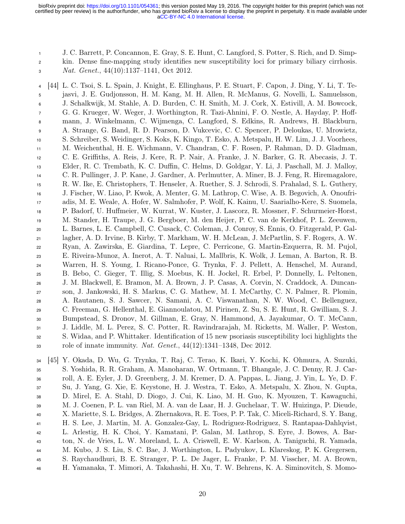J. C. Barrett, P. Concannon, E. Gray, S. E. Hunt, C. Langford, S. Potter, S. Rich, and D. Simp-kin. Dense fine-mapping study identifies new susceptibility loci for primary biliary cirrhosis.

<span id="page-19-0"></span> [44] L. C. Tsoi, S. L. Spain, J. Knight, E. Ellinghaus, P. E. Stuart, F. Capon, J. Ding, Y. Li, T. Te- jasvi, J. E. Gudjonsson, H. M. Kang, M. H. Allen, R. McManus, G. Novelli, L. Samuelsson, J. Schalkwijk, M. Stahle, A. D. Burden, C. H. Smith, M. J. Cork, X. Estivill, A. M. Bowcock, G. G. Krueger, W. Weger, J. Worthington, R. Tazi-Ahnini, F. O. Nestle, A. Hayday, P. Hoff- mann, J. Winkelmann, C. Wijmenga, C. Langford, S. Edkins, R. Andrews, H. Blackburn, A. Strange, G. Band, R. D. Pearson, D. Vukcevic, C. C. Spencer, P. Deloukas, U. Mrowietz, S. Schreiber, S. Weidinger, S. Koks, K. Kingo, T. Esko, A. Metspalu, H. W. Lim, J. J. Voorhees, M. Weichenthal, H. E. Wichmann, V. Chandran, C. F. Rosen, P. Rahman, D. D. Gladman, C. E. Griffiths, A. Reis, J. Kere, R. P. Nair, A. Franke, J. N. Barker, G. R. Abecasis, J. T. Elder, R. C. Trembath, K. C. Duffin, C. Helms, D. Goldgar, Y. Li, J. Paschall, M. J. Malloy, C. R. Pullinger, J. P. Kane, J. Gardner, A. Perlmutter, A. Miner, B. J. Feng, R. Hiremagalore, R. W. Ike, E. Christophers, T. Henseler, A. Ruether, S. J. Schrodi, S. Prahalad, S. L. Guthery, J. Fischer, W. Liao, P. Kwok, A. Menter, G. M. Lathrop, C. Wise, A. B. Begovich, A. Onoufri- adis, M. E. Weale, A. Hofer, W. Salmhofer, P. Wolf, K. Kainu, U. Saarialho-Kere, S. Suomela, P. Badorf, U. Huffmeier, W. Kurrat, W. Kuster, J. Lascorz, R. Mossner, F. Schurmeier-Horst, M. Stander, H. Traupe, J. G. Bergboer, M. den Heijer, P. C. van de Kerkhof, P. L. Zeeuwen, L. Barnes, L. E. Campbell, C. Cusack, C. Coleman, J. Conroy, S. Ennis, O. Fitzgerald, P. Gal- lagher, A. D. Irvine, B. Kirby, T. Markham, W. H. McLean, J. McPartlin, S. F. Rogers, A. W. Ryan, A. Zawirska, E. Giardina, T. Lepre, C. Perricone, G. Martin-Ezquerra, R. M. Pujol, E. Riveira-Munoz, A. Inerot, A. T. Naluai, L. Mallbris, K. Wolk, J. Leman, A. Barton, R. B. Warren, H. S. Young, I. Ricano-Ponce, G. Trynka, F. J. Pellett, A. Henschel, M. Aurand, B. Bebo, C. Gieger, T. Illig, S. Moebus, K. H. Jockel, R. Erbel, P. Donnelly, L. Peltonen, J. M. Blackwell, E. Bramon, M. A. Brown, J. P. Casas, A. Corvin, N. Craddock, A. Duncan- son, J. Jankowski, H. S. Markus, C. G. Mathew, M. I. McCarthy, C. N. Palmer, R. Plomin, A. Rautanen, S. J. Sawcer, N. Samani, A. C. Viswanathan, N. W. Wood, C. Bellenguez, C. Freeman, G. Hellenthal, E. Giannoulatou, M. Pirinen, Z. Su, S. E. Hunt, R. Gwilliam, S. J. Bumpstead, S. Dronov, M. Gillman, E. Gray, N. Hammond, A. Jayakumar, O. T. McCann, J. Liddle, M. L. Perez, S. C. Potter, R. Ravindrarajah, M. Ricketts, M. Waller, P. Weston, S. Widaa, and P. Whittaker. Identification of 15 new psoriasis susceptibility loci highlights the 33 role of innate immunity. *Nat. Genet.*,  $44(12):1341-1348$ , Dec 2012.

<span id="page-19-1"></span> [45] Y. Okada, D. Wu, G. Trynka, T. Raj, C. Terao, K. Ikari, Y. Kochi, K. Ohmura, A. Suzuki, S. Yoshida, R. R. Graham, A. Manoharan, W. Ortmann, T. Bhangale, J. C. Denny, R. J. Car- roll, A. E. Eyler, J. D. Greenberg, J. M. Kremer, D. A. Pappas, L. Jiang, J. Yin, L. Ye, D. F. Su, J. Yang, G. Xie, E. Keystone, H. J. Westra, T. Esko, A. Metspalu, X. Zhou, N. Gupta, D. Mirel, E. A. Stahl, D. Diogo, J. Cui, K. Liao, M. H. Guo, K. Myouzen, T. Kawaguchi, M. J. Coenen, P. L. van Riel, M. A. van de Laar, H. J. Guchelaar, T. W. Huizinga, P. Dieude, X. Mariette, S. L. Bridges, A. Zhernakova, R. E. Toes, P. P. Tak, C. Miceli-Richard, S. Y. Bang, H. S. Lee, J. Martin, M. A. Gonzalez-Gay, L. Rodriguez-Rodriguez, S. Rantapaa-Dahlqvist, L. Arlestig, H. K. Choi, Y. Kamatani, P. Galan, M. Lathrop, S. Eyre, J. Bowes, A. Bar- ton, N. de Vries, L. W. Moreland, L. A. Criswell, E. W. Karlson, A. Taniguchi, R. Yamada, M. Kubo, J. S. Liu, S. C. Bae, J. Worthington, L. Padyukov, L. Klareskog, P. K. Gregersen, S. Raychaudhuri, B. E. Stranger, P. L. De Jager, L. Franke, P. M. Visscher, M. A. Brown, H. Yamanaka, T. Mimori, A. Takahashi, H. Xu, T. W. Behrens, K. A. Siminovitch, S. Momo-

*Nat. Genet.*,  $44(10):1137-1141$ , Oct 2012.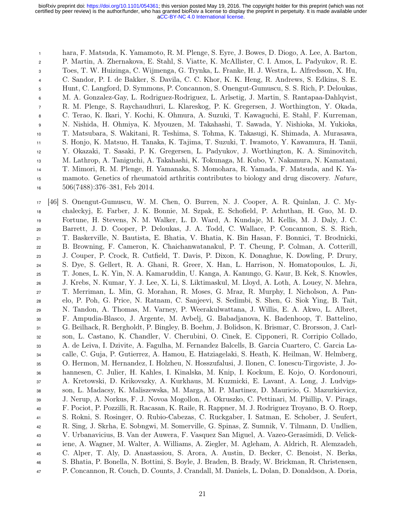hara, F. Matsuda, K. Yamamoto, R. M. Plenge, S. Eyre, J. Bowes, D. Diogo, A. Lee, A. Barton, P. Martin, A. Zhernakova, E. Stahl, S. Viatte, K. McAllister, C. I. Amos, L. Padyukov, R. E. Toes, T. W. Huizinga, C. Wijmenga, G. Trynka, L. Franke, H. J. Westra, L. Alfredsson, X. Hu, C. Sandor, P. I. de Bakker, S. Davila, C. C. Khor, K. K. Heng, R. Andrews, S. Edkins, S. E. Hunt, C. Langford, D. Symmons, P. Concannon, S. Onengut-Gumuscu, S. S. Rich, P. Deloukas, M. A. Gonzalez-Gay, L. Rodriguez-Rodriguez, L. Arlsetig, J. Martin, S. Rantapaa-Dahlqvist, R. M. Plenge, S. Raychaudhuri, L. Klareskog, P. K. Gregersen, J. Worthington, Y. Okada, C. Terao, K. Ikari, Y. Kochi, K. Ohmura, A. Suzuki, T. Kawaguchi, E. Stahl, F. Kurreman, N. Nishida, H. Ohmiya, K. Myouzen, M. Takahashi, T. Sawada, Y. Nishioka, M. Yukioka, T. Matsubara, S. Wakitani, R. Teshima, S. Tohma, K. Takasugi, K. Shimada, A. Murasawa, S. Honjo, K. Matsuo, H. Tanaka, K. Tajima, T. Suzuki, T. Iwamoto, Y. Kawamura, H. Tanii, Y. Okazaki, T. Sasaki, P. K. Gregersen, L. Padyukov, J. Worthington, K. A. Siminovitch, M. Lathrop, A. Taniguchi, A. Takahashi, K. Tokunaga, M. Kubo, Y. Nakamura, N. Kamatani, T. Mimori, R. M. Plenge, H. Yamanaka, S. Momohara, R. Yamada, F. Matsuda, and K. Ya-15 mamoto. Genetics of rheumatoid arthritis contributes to biology and drug discovery. Nature, 506(7488):376–381, Feb 2014.

<span id="page-20-0"></span> [46] S. Onengut-Gumuscu, W. M. Chen, O. Burren, N. J. Cooper, A. R. Quinlan, J. C. My- chaleckyj, E. Farber, J. K. Bonnie, M. Szpak, E. Schofield, P. Achuthan, H. Guo, M. D. Fortune, H. Stevens, N. M. Walker, L. D. Ward, A. Kundaje, M. Kellis, M. J. Daly, J. C. Barrett, J. D. Cooper, P. Deloukas, J. A. Todd, C. Wallace, P. Concannon, S. S. Rich, T. Baskerville, N. Bautista, E. Bhatia, V. Bhatia, K. Bin Hasan, F. Bonnici, T. Brodnicki, B. Browning, F. Cameron, K. Chaichanwatanakul, P. T. Cheung, P. Colman, A. Cotterill, J. Couper, P. Crock, R. Cutfield, T. Davis, P. Dixon, K. Donaghue, K. Dowling, P. Drury, S. Dye, S. Gellert, R. A. Ghani, R. Greer, X. Han, L. Harrison, N. Homatopoulos, L. Ji, T. Jones, L. K. Yin, N. A. Kamaruddin, U. Kanga, A. Kanungo, G. Kaur, B. Kek, S. Knowles, J. Krebs, N. Kumar, Y. J. Lee, X. Li, S. Liktimaskul, M. Lloyd, A. Loth, A. Louey, N. Mehra, T. Merriman, L. Min, G. Morahan, R. Moses, G. Mraz, R. Murphy, I. Nicholson, A. Pan- elo, P. Poh, G. Price, N. Ratnam, C. Sanjeevi, S. Sedimbi, S. Shen, G. Siok Ying, B. Tait, N. Tandon, A. Thomas, M. Varney, P. Weerakulwattana, J. Willis, E. A. Akwo, L. Albret, F. Ampudia-Blasco, J. Argente, M. Avbelj, G. Babadjanova, K. Badenhoop, T. Battelino, G. Beilhack, R. Bergholdt, P. Bingley, B. Boehm, J. Bolidson, K. Brismar, C. Brorsson, J. Carl- son, L. Castano, K. Chandler, V. Cherubini, O. Cinek, E. Cipponeri, R. Corripio Collado, A. de Leiva, I. Dzivite, A. Fagulha, M. Fernandez Balcells, B. Garcia Cuartero, C. Garcia La- calle, C. Guja, P. Gutierrez, A. Hamou, E. Hatziagelaki, S. Heath, K. Heilman, W. Helmberg, O. Hermon, M. Hernandez, I. Holzheu, N. Hosszufalusi, J. Ilonen, C. Ionescu-Tirgoviste, J. Jo- hannesen, C. Julier, H. Kahles, I. Kinalska, M. Knip, I. Kockum, E. Kojo, O. Kordonouri, A. Kretowski, D. Krikovszky, A. Kurkhaus, M. Kuzmicki, E. Lavant, A. Long, J. Ludvigs- son, L. Madacsy, K. Maliszewska, M. Marga, M. P. Martinez, D. Mauricio, G. Mazurkievicz, J. Nerup, A. Norkus, F. J. Novoa Mogollon, A. Okruszko, C. Pettinari, M. Phillip, V. Pirags, F. Pociot, P. Pozzilli, R. Racasan, K. Raile, R. Rappner, M. J. Rodriguez Troyano, B. O. Roep, S. Rokni, S. Rosinger, O. Rubio-Cabezas, C. Ruckgaber, I. Satman, E. Schober, J. Seufert, R. Sing, J. Skrha, E. Sobngwi, M. Somerville, G. Spinas, Z. Sumnik, V. Tilmann, D. Undlien, V. Urbanavicius, B. Van der Auwera, F. Vasquez San Miguel, A. Vazeo-Gerasimidi, D. Velick- iene, A. Wagner, M. Walter, A. Williams, A. Ziegler, M. Agleham, A. Aldrich, R. Alemzadeh, C. Alper, T. Aly, D. Anastassiou, S. Arora, A. Austin, D. Becker, C. Benoist, N. Berka, S. Bhatia, P. Bonella, N. Bottini, S. Boyle, J. Braden, B. Brady, W. Brickman, R. Christensen, P. Concannon, R. Couch, D. Counts, J. Crandall, M. Daniels, L. Dolan, D. Donaldson, A. Doria,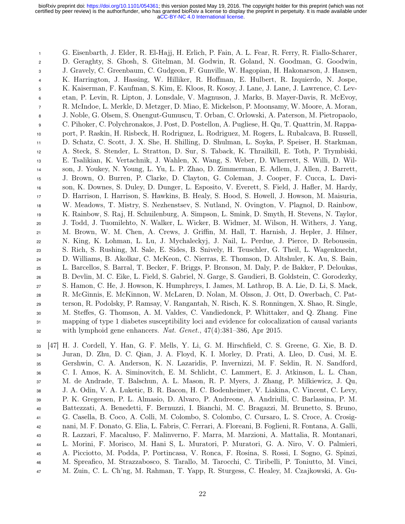G. Eisenbarth, J. Elder, R. El-Hajj, H. Erlich, P. Fain, A. L. Fear, R. Ferry, R. Fiallo-Scharer, D. Geraghty, S. Ghosh, S. Gitelman, M. Godwin, R. Goland, N. Goodman, G. Goodwin, J. Gravely, C. Greenbaum, C. Gudgeon, F. Gunville, W. Hagopian, H. Hakonarson, J. Hansen, K. Harrington, J. Hassing, W. Hilliker, R. Hoffman, E. Hulbert, R. Izquierdo, N. Jospe, K. Kaiserman, F. Kaufman, S. Kim, E. Kloos, R. Kosoy, J. Lane, J. Lane, J. Lawrence, C. Lev- etan, P. Levin, R. Lipton, J. Lonsdale, V. Magnuson, J. Marks, B. Mayer-Davis, R. McEvoy, R. McIndoe, L. Merkle, D. Metzger, D. Miao, E. Mickelson, P. Moonsamy, W. Moore, A. Moran, J. Noble, G. Olsem, S. Onengut-Gumuscu, T. Orban, C. Orlowski, A. Paterson, M. Pietropaolo, C. Pihoker, C. Polychronakos, J. Post, D. Postellon, A. Pugliese, H. Qu, T. Quattrin, M. Rappa- port, P. Raskin, H. Risbeck, H. Rodriguez, L. Rodriguez, M. Rogers, L. Rubalcava, B. Russell, D. Schatz, C. Scott, J. X. She, H. Shilling, D. Shulman, L. Soyka, P. Speiser, H. Starkman, A. Steck, S. Stender, L. Stratton, D. Sur, S. Taback, K. Thrailkill, E. Toth, P. Trymbiski, E. Tsalikian, K. Vertachnik, J. Wahlen, X. Wang, S. Weber, D. Wherrett, S. Willi, D. Wil- son, J. Youkey, N. Young, L. Yu, L. P. Zhao, D. Zimmerman, E. Adlem, J. Allen, J. Barrett, J. Brown, O. Burren, P. Clarke, D. Clayton, G. Coleman, J. Cooper, F. Cucca, L. Davi- son, K. Downes, S. Duley, D. Dunger, L. Esposito, V. Everett, S. Field, J. Hafler, M. Hardy, D. Harrison, I. Harrison, S. Hawkins, B. Healy, S. Hood, S. Howell, J. Howson, M. Maisuria, W. Meadows, T. Mistry, S. Nezhenstsev, S. Nutland, N. Ovington, V. Plagnol, D. Rainbow, K. Rainbow, S. Raj, H. Schuilenburg, A. Simpson, L. Smink, D. Smyth, H. Stevens, N. Taylor, J. Todd, J. Tuomilehto, N. Walker, L. Wicker, B. Widmer, M. Wilson, H. Withers, J. Yang, M. Brown, W. M. Chen, A. Crews, J. Griffin, M. Hall, T. Harnish, J. Hepler, J. Hilner, N. King, K. Lohman, L. Lu, J. Mychaleckyj, J. Nail, L. Perdue, J. Pierce, D. Reboussin, S. Rich, S. Rushing, M. Sale, E. Sides, B. Snively, H. Teuschler, G. Theil, L. Wagenknecht, D. Williams, B. Akolkar, C. McKeon, C. Nierras, E. Thomson, D. Altshuler, K. Au, S. Bain, L. Barcellos, S. Barral, T. Becker, F. Briggs, P. Bronson, M. Daly, P. de Bakker, P. Deloukas, B. Devlin, M. C. Eike, L. Field, S. Gabriel, N. Garge, S. Gaudieri, B. Goldstein, C. Gorodezky, S. Hamon, C. He, J. Howson, K. Humphreys, I. James, M. Lathrop, B. A. Lie, D. Li, S. Mack, R. McGinnis, E. McKinnon, W. McLaren, D. Nolan, M. Olsson, J. Ott, D. Owerbach, C. Pat- terson, R. Podolsky, P. Ramsay, V. Rangantah, N. Risch, K. S. Ronningen, X. Shao, R. Single, M. Steffes, G. Thomson, A. M. Valdes, C. Vandiedonck, P. Whittaker, and Q. Zhang. Fine mapping of type 1 diabetes susceptibility loci and evidence for colocalization of causal variants with lymphoid gene enhancers. Nat. Genet., 47(4):381–386, Apr 2015.

<span id="page-21-0"></span> [47] H. J. Cordell, Y. Han, G. F. Mells, Y. Li, G. M. Hirschfield, C. S. Greene, G. Xie, B. D. Juran, D. Zhu, D. C. Qian, J. A. Floyd, K. I. Morley, D. Prati, A. Lleo, D. Cusi, M. E. Gershwin, C. A. Anderson, K. N. Lazaridis, P. Invernizzi, M. F. Seldin, R. N. Sandford, C. I. Amos, K. A. Siminovitch, E. M. Schlicht, C. Lammert, E. J. Atkinson, L. L. Chan, M. de Andrade, T. Balschun, A. L. Mason, R. P. Myers, J. Zhang, P. Milkiewicz, J. Qu, J. A. Odin, V. A. Luketic, B. R. Bacon, H. C. Bodenheimer, V. Liakina, C. Vincent, C. Levy, P. K. Gregersen, P. L. Almasio, D. Alvaro, P. Andreone, A. Andriulli, C. Barlassina, P. M. Battezzati, A. Benedetti, F. Bernuzzi, I. Bianchi, M. C. Bragazzi, M. Brunetto, S. Bruno, G. Casella, B. Coco, A. Colli, M. Colombo, S. Colombo, C. Cursaro, L. S. Croce, A. Crosig- nani, M. F. Donato, G. Elia, L. Fabris, C. Ferrari, A. Floreani, B. Foglieni, R. Fontana, A. Galli, R. Lazzari, F. Macaluso, F. Malinverno, F. Marra, M. Marzioni, A. Mattalia, R. Montanari, L. Morini, F. Morisco, M. Hani S, L. Muratori, P. Muratori, G. A. Niro, V. O. Palmieri, A. Picciotto, M. Podda, P. Portincasa, V. Ronca, F. Rosina, S. Rossi, I. Sogno, G. Spinzi, M. Spreafico, M. Strazzabosco, S. Tarallo, M. Tarocchi, C. Tiribelli, P. Toniutto, M. Vinci, M. Zuin, C. L. Ch'ng, M. Rahman, T. Yapp, R. Sturgess, C. Healey, M. Czajkowski, A. Gu-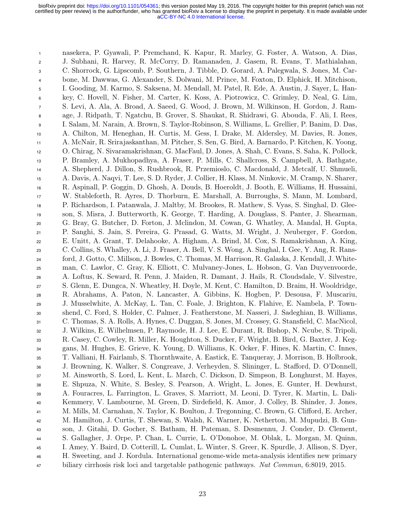nasekera, P. Gyawali, P. Premchand, K. Kapur, R. Marley, G. Foster, A. Watson, A. Dias, J. Subhani, R. Harvey, R. McCorry, D. Ramanaden, J. Gasem, R. Evans, T. Mathialahan, C. Shorrock, G. Lipscomb, P. Southern, J. Tibble, D. Gorard, A. Palegwala, S. Jones, M. Car- bone, M. Dawwas, G. Alexander, S. Dolwani, M. Prince, M. Foxton, D. Elphick, H. Mitchison, I. Gooding, M. Karmo, S. Saksena, M. Mendall, M. Patel, R. Ede, A. Austin, J. Sayer, L. Han- key, C. Hovell, N. Fisher, M. Carter, K. Koss, A. Piotrowicz, C. Grimley, D. Neal, G. Lim, S. Levi, A. Ala, A. Broad, A. Saeed, G. Wood, J. Brown, M. Wilkinson, H. Gordon, J. Ram- age, J. Ridpath, T. Ngatchu, B. Grover, S. Shaukat, R. Shidrawi, G. Abouda, F. Ali, I. Rees, I. Salam, M. Narain, A. Brown, S. Taylor-Robinson, S. Williams, L. Grellier, P. Banim, D. Das, A. Chilton, M. Heneghan, H. Curtis, M. Gess, I. Drake, M. Aldersley, M. Davies, R. Jones, A. McNair, R. Srirajaskanthan, M. Pitcher, S. Sen, G. Bird, A. Barnardo, P. Kitchen, K. Yoong, O. Chirag, N. Sivaramakrishnan, G. MacFaul, D. Jones, A. Shah, C. Evans, S. Saha, K. Pollock, P. Bramley, A. Mukhopadhya, A. Fraser, P. Mills, C. Shallcross, S. Campbell, A. Bathgate, A. Shepherd, J. Dillon, S. Rushbrook, R. Przemioslo, C. Macdonald, J. Metcalf, U. Shmueli, A. Davis, A. Naqvi, T. Lee, S. D. Ryder, J. Collier, H. Klass, M. Ninkovic, M. Cramp, N. Sharer, R. Aspinall, P. Goggin, D. Ghosh, A. Douds, B. Hoeroldt, J. Booth, E. Williams, H. Hussaini, W. Stableforth, R. Ayres, D. Thorburn, E. Marshall, A. Burroughs, S. Mann, M. Lombard, P. Richardson, I. Patanwala, J. Maltby, M. Brookes, R. Mathew, S. Vyas, S. Singhal, D. Glee- son, S. Misra, J. Butterworth, K. George, T. Harding, A. Douglass, S. Panter, J. Shearman, G. Bray, G. Butcher, D. Forton, J. Mclindon, M. Cowan, G. Whatley, A. Mandal, H. Gupta, P. Sanghi, S. Jain, S. Pereira, G. Prasad, G. Watts, M. Wright, J. Neuberger, F. Gordon, E. Unitt, A. Grant, T. Delahooke, A. Higham, A. Brind, M. Cox, S. Ramakrishnan, A. King, C. Collins, S. Whalley, A. Li, J. Fraser, A. Bell, V. S. Wong, A. Singhal, I. Gee, Y. Ang, R. Rans- ford, J. Gotto, C. Millson, J. Bowles, C. Thomas, M. Harrison, R. Galaska, J. Kendall, J. White- man, C. Lawlor, C. Gray, K. Elliott, C. Mulvaney-Jones, L. Hobson, G. Van Duyvenvoorde, A. Loftus, K. Seward, R. Penn, J. Maiden, R. Damant, J. Hails, R. Cloudsdale, V. Silvestre, S. Glenn, E. Dungca, N. Wheatley, H. Doyle, M. Kent, C. Hamilton, D. Braim, H. Wooldridge, R. Abrahams, A. Paton, N. Lancaster, A. Gibbins, K. Hogben, P. Desousa, F. Muscariu, J. Musselwhite, A. McKay, L. Tan, C. Foale, J. Brighton, K. Flahive, E. Nambela, P. Town- shend, C. Ford, S. Holder, C. Palmer, J. Featherstone, M. Nasseri, J. Sadeghian, B. Williams, C. Thomas, S. A. Rolls, A. Hynes, C. Duggan, S. Jones, M. Crossey, G. Stansfield, C. MacNicol, J. Wilkins, E. Wilhelmsen, P. Raymode, H. J. Lee, E. Durant, R. Bishop, N. Ncube, S. Tripoli, R. Casey, C. Cowley, R. Miller, K. Houghton, S. Ducker, F. Wright, B. Bird, G. Baxter, J. Keg- gans, M. Hughes, E. Grieve, K. Young, D. Williams, K. Ocker, F. Hines, K. Martin, C. Innes, T. Valliani, H. Fairlamb, S. Thornthwaite, A. Eastick, E. Tanqueray, J. Morrison, B. Holbrook, J. Browning, K. Walker, S. Congreave, J. Verheyden, S. Slininger, L. Stafford, D. O'Donnell, M. Ainsworth, S. Lord, L. Kent, L. March, C. Dickson, D. Simpson, B. Longhurst, M. Hayes, E. Shpuza, N. White, S. Besley, S. Pearson, A. Wright, L. Jones, E. Gunter, H. Dewhurst, A. Fouracres, L. Farrington, L. Graves, S. Marriott, M. Leoni, D. Tyrer, K. Martin, L. Dali- Kemmery, V. Lambourne, M. Green, D. Sirdefield, K. Amor, J. Colley, B. Shinder, J. Jones, M. Mills, M. Carnahan, N. Taylor, K. Boulton, J. Tregonning, C. Brown, G. Clifford, E. Archer, M. Hamilton, J. Curtis, T. Shewan, S. Walsh, K. Warner, K. Netherton, M. Mupudzi, B. Gun- son, J. Gitahi, D. Gocher, S. Batham, H. Pateman, S. Desmennu, J. Conder, D. Clement, S. Gallagher, J. Orpe, P. Chan, L. Currie, L. O'Donohoe, M. Oblak, L. Morgan, M. Quinn, I. Amey, Y. Baird, D. Cotterill, L. Cumlat, L. Winter, S. Greer, K. Spurdle, J. Allison, S. Dyer, H. Sweeting, and J. Kordula. International genome-wide meta-analysis identifies new primary 47 biliary cirrhosis risk loci and targetable pathogenic pathways. Nat Commun, 6:8019, 2015.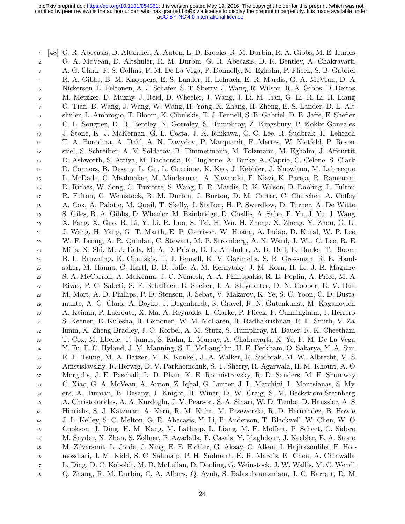<span id="page-23-0"></span> [48] G. R. Abecasis, D. Altshuler, A. Auton, L. D. Brooks, R. M. Durbin, R. A. Gibbs, M. E. Hurles, G. A. McVean, D. Altshuler, R. M. Durbin, G. R. Abecasis, D. R. Bentley, A. Chakravarti, A. G. Clark, F. S. Collins, F. M. De La Vega, P. Donnelly, M. Egholm, P. Flicek, S. B. Gabriel, R. A. Gibbs, B. M. Knoppers, E. S. Lander, H. Lehrach, E. R. Mardis, G. A. McVean, D. A. Nickerson, L. Peltonen, A. J. Schafer, S. T. Sherry, J. Wang, R. Wilson, R. A. Gibbs, D. Deiros, M. Metzker, D. Muzny, J. Reid, D. Wheeler, J. Wang, J. Li, M. Jian, G. Li, R. Li, H. Liang, G. Tian, B. Wang, J. Wang, W. Wang, H. Yang, X. Zhang, H. Zheng, E. S. Lander, D. L. Alt- shuler, L. Ambrogio, T. Bloom, K. Cibulskis, T. J. Fennell, S. B. Gabriel, D. B. Jaffe, E. Shefler, C. L. Sougnez, D. R. Bentley, N. Gormley, S. Humphray, Z. Kingsbury, P. Kokko-Gonzales, J. Stone, K. J. McKernan, G. L. Costa, J. K. Ichikawa, C. C. Lee, R. Sudbrak, H. Lehrach, T. A. Borodina, A. Dahl, A. N. Davydov, P. Marquardt, F. Mertes, W. Nietfeld, P. Rosen- stiel, S. Schreiber, A. V. Soldatov, B. Timmermann, M. Tolzmann, M. Egholm, J. Affourtit, D. Ashworth, S. Attiya, M. Bachorski, E. Buglione, A. Burke, A. Caprio, C. Celone, S. Clark, D. Conners, B. Desany, L. Gu, L. Guccione, K. Kao, J. Kebbler, J. Knowlton, M. Labrecque, L. McDade, C. Mealmaker, M. Minderman, A. Nawrocki, F. Niazi, K. Pareja, R. Ramenani, D. Riches, W. Song, C. Turcotte, S. Wang, E. R. Mardis, R. K. Wilson, D. Dooling, L. Fulton, R. Fulton, G. Weinstock, R. M. Durbin, J. Burton, D. M. Carter, C. Churcher, A. Coffey, A. Cox, A. Palotie, M. Quail, T. Skelly, J. Stalker, H. P. Swerdlow, D. Turner, A. De Witte, S. Giles, R. A. Gibbs, D. Wheeler, M. Bainbridge, D. Challis, A. Sabo, F. Yu, J. Yu, J. Wang, X. Fang, X. Guo, R. Li, Y. Li, R. Luo, S. Tai, H. Wu, H. Zheng, X. Zheng, Y. Zhou, G. Li, J. Wang, H. Yang, G. T. Marth, E. P. Garrison, W. Huang, A. Indap, D. Kural, W. P. Lee, W. F. Leong, A. R. Quinlan, C. Stewart, M. P. Stromberg, A. N. Ward, J. Wu, C. Lee, R. E. Mills, X. Shi, M. J. Daly, M. A. DePristo, D. L. Altshuler, A. D. Ball, E. Banks, T. Bloom, B. L. Browning, K. Cibulskis, T. J. Fennell, K. V. Garimella, S. R. Grossman, R. E. Hand- saker, M. Hanna, C. Hartl, D. B. Jaffe, A. M. Kernytsky, J. M. Korn, H. Li, J. R. Maguire, S. A. McCarroll, A. McKenna, J. C. Nemesh, A. A. Philippakis, R. E. Poplin, A. Price, M. A. Rivas, P. C. Sabeti, S. F. Schaffner, E. Shefler, I. A. Shlyakhter, D. N. Cooper, E. V. Ball, M. Mort, A. D. Phillips, P. D. Stenson, J. Sebat, V. Makarov, K. Ye, S. C. Yoon, C. D. Busta- mante, A. G. Clark, A. Boyko, J. Degenhardt, S. Gravel, R. N. Gutenkunst, M. Kaganovich, A. Keinan, P. Lacroute, X. Ma, A. Reynolds, L. Clarke, P. Flicek, F. Cunningham, J. Herrero, S. Keenen, E. Kulesha, R. Leinonen, W. M. McLaren, R. Radhakrishnan, R. E. Smith, V. Za- lunin, X. Zheng-Bradley, J. O. Korbel, A. M. Stutz, S. Humphray, M. Bauer, R. K. Cheetham, T. Cox, M. Eberle, T. James, S. Kahn, L. Murray, A. Chakravarti, K. Ye, F. M. De La Vega, Y. Fu, F. C. Hyland, J. M. Manning, S. F. McLaughlin, H. E. Peckham, O. Sakarya, Y. A. Sun, E. F. Tsung, M. A. Batzer, M. K. Konkel, J. A. Walker, R. Sudbrak, M. W. Albrecht, V. S. Amstislavskiy, R. Herwig, D. V. Parkhomchuk, S. T. Sherry, R. Agarwala, H. M. Khouri, A. O. Morgulis, J. E. Paschall, L. D. Phan, K. E. Rotmistrovsky, R. D. Sanders, M. F. Shumway, C. Xiao, G. A. McVean, A. Auton, Z. Iqbal, G. Lunter, J. L. Marchini, L. Moutsianas, S. My- ers, A. Tumian, B. Desany, J. Knight, R. Winer, D. W. Craig, S. M. Beckstrom-Sternberg, A. Christoforides, A. A. Kurdoglu, J. V. Pearson, S. A. Sinari, W. D. Tembe, D. Haussler, A. S. Hinrichs, S. J. Katzman, A. Kern, R. M. Kuhn, M. Przeworski, R. D. Hernandez, B. Howie, J. L. Kelley, S. C. Melton, G. R. Abecasis, Y. Li, P. Anderson, T. Blackwell, W. Chen, W. O. Cookson, J. Ding, H. M. Kang, M. Lathrop, L. Liang, M. F. Moffatt, P. Scheet, C. Sidore, M. Snyder, X. Zhan, S. Zollner, P. Awadalla, F. Casals, Y. Idaghdour, J. Keebler, E. A. Stone, M. Zilversmit, L. Jorde, J. Xing, E. E. Eichler, G. Aksay, C. Alkan, I. Hajirasouliha, F. Hor- mozdiari, J. M. Kidd, S. C. Sahinalp, P. H. Sudmant, E. R. Mardis, K. Chen, A. Chinwalla, L. Ding, D. C. Koboldt, M. D. McLellan, D. Dooling, G. Weinstock, J. W. Wallis, M. C. Wendl, Q. Zhang, R. M. Durbin, C. A. Albers, Q. Ayub, S. Balasubramaniam, J. C. Barrett, D. M.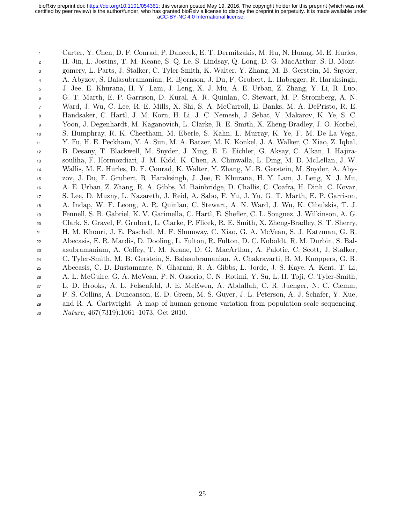Carter, Y. Chen, D. F. Conrad, P. Danecek, E. T. Dermitzakis, M. Hu, N. Huang, M. E. Hurles, H. Jin, L. Jostins, T. M. Keane, S. Q. Le, S. Lindsay, Q. Long, D. G. MacArthur, S. B. Mont- gomery, L. Parts, J. Stalker, C. Tyler-Smith, K. Walter, Y. Zhang, M. B. Gerstein, M. Snyder, A. Abyzov, S. Balasubramanian, R. Bjornson, J. Du, F. Grubert, L. Habegger, R. Haraksingh, J. Jee, E. Khurana, H. Y. Lam, J. Leng, X. J. Mu, A. E. Urban, Z. Zhang, Y. Li, R. Luo, G. T. Marth, E. P. Garrison, D. Kural, A. R. Quinlan, C. Stewart, M. P. Stromberg, A. N. Ward, J. Wu, C. Lee, R. E. Mills, X. Shi, S. A. McCarroll, E. Banks, M. A. DePristo, R. E. Handsaker, C. Hartl, J. M. Korn, H. Li, J. C. Nemesh, J. Sebat, V. Makarov, K. Ye, S. C. Yoon, J. Degenhardt, M. Kaganovich, L. Clarke, R. E. Smith, X. Zheng-Bradley, J. O. Korbel, S. Humphray, R. K. Cheetham, M. Eberle, S. Kahn, L. Murray, K. Ye, F. M. De La Vega, Y. Fu, H. E. Peckham, Y. A. Sun, M. A. Batzer, M. K. Konkel, J. A. Walker, C. Xiao, Z. Iqbal, B. Desany, T. Blackwell, M. Snyder, J. Xing, E. E. Eichler, G. Aksay, C. Alkan, I. Hajira- souliha, F. Hormozdiari, J. M. Kidd, K. Chen, A. Chinwalla, L. Ding, M. D. McLellan, J. W. Wallis, M. E. Hurles, D. F. Conrad, K. Walter, Y. Zhang, M. B. Gerstein, M. Snyder, A. Aby- zov, J. Du, F. Grubert, R. Haraksingh, J. Jee, E. Khurana, H. Y. Lam, J. Leng, X. J. Mu, A. E. Urban, Z. Zhang, R. A. Gibbs, M. Bainbridge, D. Challis, C. Coafra, H. Dinh, C. Kovar, S. Lee, D. Muzny, L. Nazareth, J. Reid, A. Sabo, F. Yu, J. Yu, G. T. Marth, E. P. Garrison, A. Indap, W. F. Leong, A. R. Quinlan, C. Stewart, A. N. Ward, J. Wu, K. Cibulskis, T. J. Fennell, S. B. Gabriel, K. V. Garimella, C. Hartl, E. Shefler, C. L. Sougnez, J. Wilkinson, A. G. Clark, S. Gravel, F. Grubert, L. Clarke, P. Flicek, R. E. Smith, X. Zheng-Bradley, S. T. Sherry, H. M. Khouri, J. E. Paschall, M. F. Shumway, C. Xiao, G. A. McVean, S. J. Katzman, G. R. Abecasis, E. R. Mardis, D. Dooling, L. Fulton, R. Fulton, D. C. Koboldt, R. M. Durbin, S. Bal- asubramaniam, A. Coffey, T. M. Keane, D. G. MacArthur, A. Palotie, C. Scott, J. Stalker, C. Tyler-Smith, M. B. Gerstein, S. Balasubramanian, A. Chakravarti, B. M. Knoppers, G. R. Abecasis, C. D. Bustamante, N. Gharani, R. A. Gibbs, L. Jorde, J. S. Kaye, A. Kent, T. Li, A. L. McGuire, G. A. McVean, P. N. Ossorio, C. N. Rotimi, Y. Su, L. H. Toji, C. Tyler-Smith, L. D. Brooks, A. L. Felsenfeld, J. E. McEwen, A. Abdallah, C. R. Juenger, N. C. Clemm, F. S. Collins, A. Duncanson, E. D. Green, M. S. Guyer, J. L. Peterson, A. J. Schafer, Y. Xue, and R. A. Cartwright. A map of human genome variation from population-scale sequencing. Nature, 467(7319):1061–1073, Oct 2010.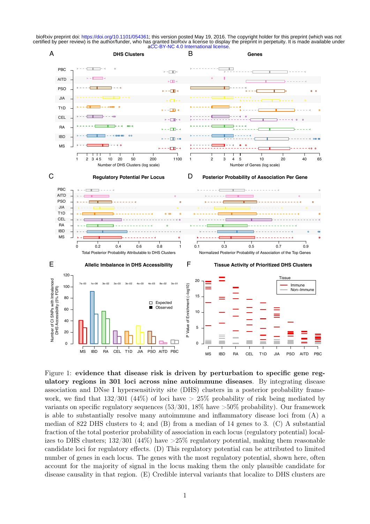

Figure 1: evidence that disease risk is driven by perturbation to specific gene regulatory regions in 301 loci across nine autoimmune diseases. By integrating disease association and DNse I hypersensitivity site (DHS) clusters in a posterior probability framework, we find that  $132/301$  (44%) of loci have  $> 25\%$  probability of risk being mediated by variants on specific regulatory sequences (53/301, 18% have >50% probability). Our framework is able to substantially resolve many autoimmune and inflammatory disease loci from (A) a median of 822 DHS clusters to 4; and (B) from a median of 14 genes to 3. (C) A substantial fraction of the total posterior probability of association in each locus (regulatory potential) localizes to DHS clusters;  $132/301$  (44%) have  $>25\%$  regulatory potential, making them reasonable candidate loci for regulatory effects. (D) This regulatory potential can be attributed to limited number of genes in each locus. The genes with the most regulatory potential, shown here, often account for the majority of signal in the locus making them the only plausible candidate for disease causality in that region. (E) Credible interval variants that localize to DHS clusters are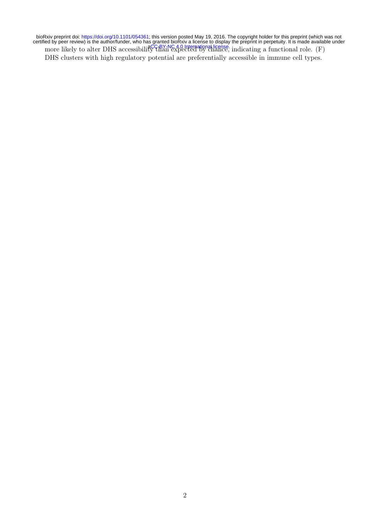more likely to alter DHS accessibility than expected by chance, indicating a functional role. (F) DHS clusters with high regulatory potential are preferentially accessible in immune cell types. [aCC-BY-NC 4.0 International license.](http://creativecommons.org/licenses/by-nc/4.0/) certified by peer review) is the author/funder, who has granted bioRxiv a license to display the preprint in perpetuity. It is made available under bioRxiv preprint doi: [https://doi.org/10.1101/054361;](https://doi.org/10.1101/054361) this version posted May 19, 2016. The copyright holder for this preprint (which was not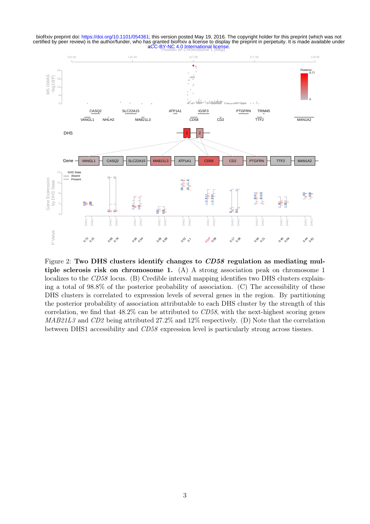

Figure 2: Two DHS clusters identify changes to CD58 regulation as mediating multiple sclerosis risk on chromosome 1. (A) A strong association peak on chromosome 1 localizes to the CD58 locus. (B) Credible interval mapping identifies two DHS clusters explaining a total of 98.8% of the posterior probability of association. (C) The accessibility of these DHS clusters is correlated to expression levels of several genes in the region. By partitioning the posterior probability of association attributable to each DHS cluster by the strength of this correlation, we find that  $48.2\%$  can be attributed to  $CD58$ , with the next-highest scoring genes MAB21L3 and CD2 being attributed 27.2% and 12% respectively. (D) Note that the correlation between DHS1 accessibility and CD58 expression level is particularly strong across tissues.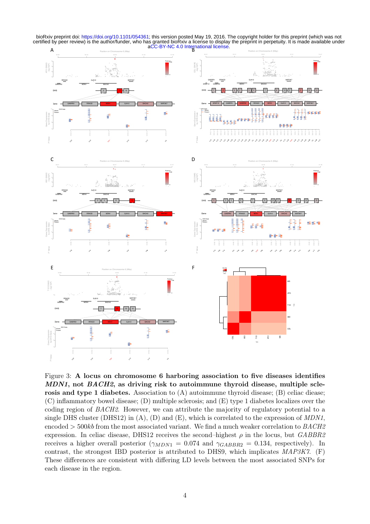A B<sup>POSIDON</sup> ON CRIMINAL CONSUMER SANCE A REPORT OF A REPORT OF A REPORT OF A REPORT OF A REPORT OF A REPORT OF A REPORT OF A REPORT OF A REPORT OF A REPORT OF A REPORT OF A REPORT OF A REPORT OF A REPORT OF A REPORT OF A certified by peer review) is the author/funder, who has granted bioRxiv a license to display the preprint in perpetuity. It is made available under bioRxiv preprint doi: [https://doi.org/10.1101/054361;](https://doi.org/10.1101/054361) this version posted May 19, 2016. The copyright holder for this preprint (which was not



Figure 3: A locus on chromosome 6 harboring association to five diseases identifies MDN1, not BACH2, as driving risk to autoimmune thyroid disease, multiple sclerosis and type 1 diabetes. Association to (A) autoimmune thyroid disease; (B) celiac diease; (C) inflammatory bowel disease; (D) multiple sclerosis; and (E) type 1 diabetes localizes over the coding region of BACH2. However, we can attribute the majority of regulatory potential to a single DHS cluster (DHS12) in  $(A)$ ,  $(D)$  and  $(E)$ , which is correlated to the expression of *MDN1*, encoded  $>$  500kb from the most associated variant. We find a much weaker correlation to  $BACH2$ expression. In celiac disease, DHS12 receives the second–highest  $\rho$  in the locus, but  $GABBR2$ receives a higher overall posterior ( $\gamma_{MDN1} = 0.074$  and  $\gamma_{GABBR2} = 0.134$ , respectively). In contrast, the strongest IBD posterior is attributed to DHS9, which implicates  $MAP3K7$ . (F) These differences are consistent with differing LD levels between the most associated SNPs for each disease in the region.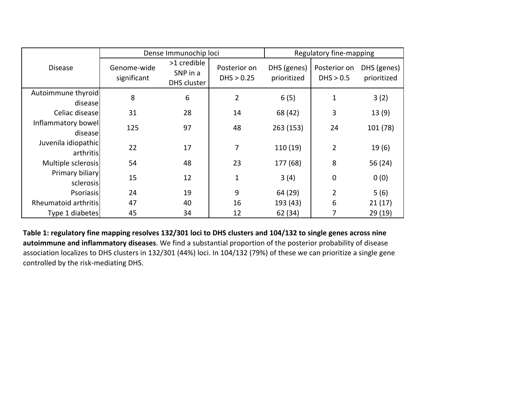|                                  |                            | Dense Immunochip loci                  |                            |                            | Regulatory fine-mapping   |                            |
|----------------------------------|----------------------------|----------------------------------------|----------------------------|----------------------------|---------------------------|----------------------------|
| <b>Disease</b>                   | Genome-wide<br>significant | >1 credible<br>SNP in a<br>DHS cluster | Posterior on<br>DHS > 0.25 | DHS (genes)<br>prioritized | Posterior on<br>DHS > 0.5 | DHS (genes)<br>prioritized |
| Autoimmune thyroid<br>disease    | 8                          | 6                                      | $\overline{2}$             | 6(5)                       | $\mathbf 1$               | 3(2)                       |
| Celiac disease                   | 31                         | 28                                     | 14                         | 68 (42)                    | 3                         | 13(9)                      |
| Inflammatory bowel<br>disease    | 125                        | 97                                     | 48                         | 263 (153)                  | 24                        | 101 (78)                   |
| Juvenila idiopathic<br>arthritis | 22                         | 17                                     | 7                          | 110(19)                    | $\overline{2}$            | 19(6)                      |
| Multiple sclerosis               | 54                         | 48                                     | 23                         | 177 (68)                   | 8                         | 56 (24)                    |
| Primary biliary<br>sclerosis     | 15                         | 12                                     | $\mathbf{1}$               | 3(4)                       | 0                         | 0(0)                       |
| <b>Psoriasis</b>                 | 24                         | 19                                     | 9                          | 64 (29)                    | $\overline{2}$            | 5(6)                       |
| Rheumatoid arthritis             | 47                         | 40                                     | 16                         | 193 (43)                   | 6                         | 21(17)                     |
| Type 1 diabetes                  | 45                         | 34                                     | 12                         | 62 (34)                    | 7                         | 29(19)                     |

Table 1: regulatory fine mapping resolves 132/301 loci to DHS clusters and 104/132 to single genes across nine autoimmune and inflammatory diseases. We find a substantial proportion of the posterior probability of disease association localizes to DHS clusters in 132/301 (44%) loci. In 104/132 (79%) of these we can prioritize a single gene controlled by the risk-mediating DHS.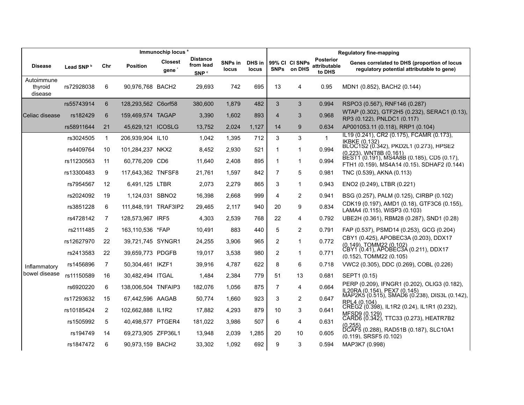| Immunochip locus <sup>a</sup>    |                       |                |                      |                        |                                                  |                  | <b>Regulatory fine-mapping</b> |                |                          |                                            |                                                                                                                     |  |
|----------------------------------|-----------------------|----------------|----------------------|------------------------|--------------------------------------------------|------------------|--------------------------------|----------------|--------------------------|--------------------------------------------|---------------------------------------------------------------------------------------------------------------------|--|
| <b>Disease</b>                   | Lead SNP <sup>b</sup> | Chr            | <b>Position</b>      | <b>Closest</b><br>gene | <b>Distance</b><br>from lead<br>SNP <sup>c</sup> | SNPs in<br>locus | <b>DHS</b> in<br>locus         | <b>SNPs</b>    | 99% CI CI SNPs<br>on DHS | <b>Posterior</b><br>attributable<br>to DHS | Genes correlated to DHS (proportion of locus<br>regulatory potential attributable to gene)                          |  |
| Autoimmune<br>thyroid<br>disease | rs72928038            | 6              | 90,976,768 BACH2     |                        | 29,693                                           | 742              | 695                            | 13             | 4                        | 0.95                                       | MDN1 (0.852), BACH2 (0.144)                                                                                         |  |
|                                  | rs55743914            | 6              | 128,293,562 C6orf58  |                        | 380,600                                          | 1,879            | 482                            | 3              | 3                        | 0.994                                      | RSPO3 (0.567), RNF146 (0.287)                                                                                       |  |
| Celiac disease                   | rs182429              | 6              | 159,469,574 TAGAP    |                        | 3.390                                            | 1.602            | 893                            | $\overline{4}$ | 3                        | 0.968                                      | WTAP (0.302), GTF2H5 (0.232), SERAC1 (0.13),<br>RP3 (0.122), PNLDC1 (0.117)                                         |  |
|                                  | rs58911644            | 21             | 45,629,121 ICOSLG    |                        | 13.752                                           | 2.024            | 1.127                          | 14             | 9                        | 0.634                                      | AP001053.11 (0.118), RRP1 (0.104)                                                                                   |  |
|                                  | rs3024505             | $\mathbf 1$    | 206,939,904 IL10     |                        | 1,042                                            | 1,395            | 712                            | 3              | 3                        | $\mathbf{1}$                               | IL19 (0.241), CR2 (0.175), FCAMR (0.173),                                                                           |  |
|                                  | rs4409764             | 10             | 101,284,237 NKX2     |                        | 8,452                                            | 2,930            | 521                            | 1              | $\mathbf{1}$             | 0.994                                      | IKBKE (0.132)<br>BLOC1S2 (0.342), PKD2L1 (0.273), HPSE2                                                             |  |
|                                  | rs11230563            | 11             | 60,776,209 CD6       |                        | 11.640                                           | 2,408            | 895                            | 1              | $\mathbf{1}$             | 0.994                                      | (0.223). WNT8B (0.161)<br>BEST1 (0.191), MS4A8B (0.185), CD5 (0.17),<br>FTH1 (0.159), MS4A14 (0.15), SDHAF2 (0.144) |  |
|                                  | rs13300483            | 9              | 117,643,362 TNFSF8   |                        | 21.761                                           | 1,597            | 842                            | $\overline{7}$ | 5                        | 0.981                                      | TNC (0.539), AKNA (0.113)                                                                                           |  |
|                                  | rs7954567             | 12             | 6,491,125 LTBR       |                        | 2,073                                            | 2,279            | 865                            | 3              | $\mathbf{1}$             | 0.943                                      | ENO2 (0.249), LTBR (0.221)                                                                                          |  |
|                                  | rs2024092             | 19             | 1,124,031 SBNO2      |                        | 16,398                                           | 2,668            | 999                            | 4              | $\overline{2}$           | 0.941                                      | BSG (0.257), PALM (0.125), CIRBP (0.102)                                                                            |  |
|                                  | rs3851228             | 6              | 111,848,191 TRAF3IP2 |                        | 29.465                                           | 2.117            | 940                            | 20             | 9                        | 0.834                                      | CDK19 (0.197), AMD1 (0.18), GTF3C6 (0.155),<br>LAMA4 (0.115), WISP3 (0.103)                                         |  |
|                                  | rs4728142             | 7              | 128,573,967 IRF5     |                        | 4,303                                            | 2,539            | 768                            | 22             | 4                        | 0.792                                      | UBE2H (0.361), RBM28 (0.287), SND1 (0.28)                                                                           |  |
|                                  | rs2111485             | 2              | 163,110,536 *FAP     |                        | 10,491                                           | 883              | 440                            | 5              | $\overline{2}$           | 0.791                                      | FAP (0.537), PSMD14 (0.253), GCG (0.204)                                                                            |  |
|                                  | rs12627970            | 22             | 39,721,745 SYNGR1    |                        | 24,255                                           | 3,906            | 965                            | 2              | 1                        | 0.772                                      | CBY1 (0.425), APOBEC3A (0.203), DDX17                                                                               |  |
|                                  | rs2413583             | 22             | 39,659,773 PDGFB     |                        | 19,017                                           | 3,538            | 980                            | 2              | $\mathbf{1}$             | 0.771                                      | (0.149). TOMM22 (0.102)<br>CBY1 (0.41), APOBEC3A (0.211), DDX17<br>(0.152). TOMM22 (0.105)                          |  |
| Inflammatory                     | rs1456896             | $\overline{7}$ | 50,304,461 IKZF1     |                        | 39,916                                           | 4,787            | 622                            | 8              | 6                        | 0.718                                      | VWC2 (0.305), DDC (0.269), COBL (0.226)                                                                             |  |
| bowel disease                    | rs11150589            | 16             | 30,482,494 ITGAL     |                        | 1,484                                            | 2,384            | 779                            | 51             | 13                       | 0.681                                      | SEPT1 (0.15)                                                                                                        |  |
|                                  | rs6920220             | 6              | 138,006,504 TNFAIP3  |                        | 182,076                                          | 1,056            | 875                            | $\overline{7}$ | 4                        | 0.664                                      | PERP (0.209), IFNGR1 (0.202), OLIG3 (0.182),                                                                        |  |
|                                  | rs17293632            | 15             | 67,442,596 AAGAB     |                        | 50.774                                           | 1.660            | 923                            | 3              | $\overline{2}$           | 0.647                                      | IL20RA (0.154). PEX7 (0.145)<br>MAP2K5 (0.515), SMAD6 (0.238), DIS3L (0.142),                                       |  |
|                                  | rs10185424            | 2              | 102,662,888 IL1R2    |                        | 17,882                                           | 4.293            | 879                            | 10             | 3                        | 0.641                                      | RPL4 (0.104)<br>CREG2 (0.398), IL1R2 (0.24), IL1R1 (0.232),                                                         |  |
|                                  | rs1505992             | 5              | 40,498,577 PTGER4    |                        | 181,022                                          | 3,986            | 507                            | 6              | 4                        | 0.631                                      | MFSD9 (0.129)<br>CARD6 (0.342), TTC33 (0.273), HEATR7B2                                                             |  |
|                                  | rs194749              | 14             | 69,273,905 ZFP36L1   |                        | 13,948                                           | 2,039            | 1,285                          | 20             | 10                       | 0.605                                      | (0.255)<br>DCAF5 (0.288), RAD51B (0.187), SLC10A1<br>(0.119). SRSF5 (0.102)                                         |  |
|                                  | rs1847472             | 6              | 90.973.159 BACH2     |                        | 33,302                                           | 1,092            | 692                            | 9              | 3                        | 0.594                                      | MAP3K7 (0.998)                                                                                                      |  |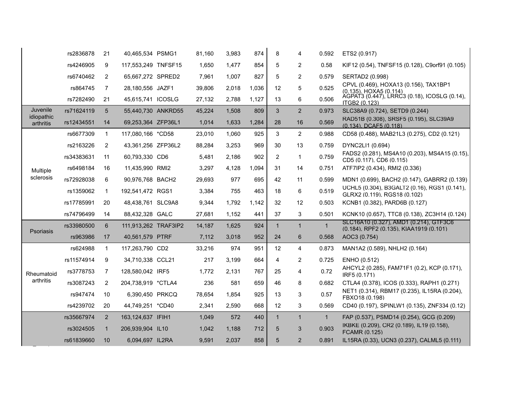| rs4246905<br>rs6740462                | 9<br>$\overline{2}$<br>$\overline{7}$ | 117,553,249 TNFSF15<br>65,667,272 SPRED2 | 1,650  | 1,477 | 854   |                |                |              |                                                                                   |
|---------------------------------------|---------------------------------------|------------------------------------------|--------|-------|-------|----------------|----------------|--------------|-----------------------------------------------------------------------------------|
|                                       |                                       |                                          |        |       |       | 5              | $\overline{2}$ | 0.58         | KIF12 (0.54), TNFSF15 (0.128), C9orf91 (0.105)                                    |
|                                       |                                       |                                          | 7,961  | 1,007 | 827   | 5              | $\overline{2}$ | 0.579        | SERTAD2 (0.998)                                                                   |
| rs864745                              |                                       | 28,180,556 JAZF1                         | 39,806 | 2,018 | 1,036 | 12             | 5              | 0.525        | CPVL (0.469), HOXA13 (0.156), TAX1BP1<br>(0.135), HOXA5 (0.114)                   |
| rs7282490                             | 21                                    | 45,615,741 ICOSLG                        | 27,132 | 2,788 | 1,127 | 13             | 6              | 0.506        | AGPAT3 (0.447), LRRC3 (0.18), ICOSLG (0.14),<br>ITGB2 (0.123)                     |
| Juvenile<br>rs71624119                | 5                                     | 55,440,730 ANKRD55                       | 45,224 | 1,508 | 809   | 3              | $\overline{2}$ | 0.973        | SLC38A9 (0.724), SETD9 (0.244)                                                    |
| idiopathic<br>rs12434551<br>arthritis | 14                                    | 69,253,364 ZFP36L1                       | 1,014  | 1,633 | 1,284 | 28             | 16             | 0.569        | RAD51B (0.308), SRSF5 (0.195), SLC39A9<br>(0.134). DCAF5 (0.118)                  |
| rs6677309                             | $\mathbf{1}$                          | 117,080,166 *CD58                        | 23,010 | 1,060 | 925   | 3              | $\overline{2}$ | 0.988        | CD58 (0.488), MAB21L3 (0.275), CD2 (0.121)                                        |
| rs2163226                             | $\overline{2}$                        | 43.361.256 ZFP36L2                       | 88.284 | 3.253 | 969   | 30             | 13             | 0.759        | DYNC2LI1 (0.694)                                                                  |
| rs34383631                            | 11                                    | 60,793,330 CD6                           | 5,481  | 2,186 | 902   | $\overline{2}$ | $\mathbf{1}$   | 0.759        | FADS2 (0.281), MS4A10 (0.203), MS4A15 (0.15),<br>CD5 (0.117). CD6 (0.115)         |
| rs6498184<br>Multiple                 | 16                                    | 11,435,990 RMI2                          | 3,297  | 4,128 | 1,094 | 31             | 14             | 0.751        | ATF7IP2 (0.434), RMI2 (0.336)                                                     |
| sclerosis<br>rs72928038               | 6                                     | 90,976,768 BACH2                         | 29,693 | 977   | 695   | 42             | 11             | 0.599        | MDN1 (0.699), BACH2 (0.147), GABRR2 (0.139)                                       |
| rs1359062                             | $\mathbf{1}$                          | 192,541,472 RGS1                         | 3,384  | 755   | 463   | 18             | 6              | 0.519        | UCHL5 (0.304), B3GALT2 (0.16), RGS1 (0.141),<br>GLRX2 (0.119), RGS18 (0.102)      |
| rs17785991                            | 20                                    | 48,438,761 SLC9A8                        | 9,344  | 1,792 | 1,142 | 32             | 12             | 0.503        | KCNB1 (0.382), PARD6B (0.127)                                                     |
| rs74796499                            | 14                                    | 88,432,328 GALC                          | 27,681 | 1,152 | 441   | 37             | 3              | 0.501        | KCNK10 (0.657), TTC8 (0.138), ZC3H14 (0.124)                                      |
| rs33980500<br><b>Psoriasis</b>        | $6^{\circ}$                           | 111,913,262 TRAF3IP2                     | 14,187 | 1,625 | 924   | $\mathbf{1}$   | $\mathbf{1}$   | $\mathbf{1}$ | SLC16A10 (0.327), AMD1 (0.214), GTF3C6<br>(0.184). RPF2 (0.135). KIAA1919 (0.101) |
| rs963986                              | 17                                    | 40,561,579 PTRF                          | 7,112  | 3,018 | 952   | 24             | 6              | 0.568        | AOC3 (0.754)                                                                      |
| rs624988                              | $\mathbf{1}$                          | 117,263,790 CD2                          | 33,216 | 974   | 951   | 12             | 4              | 0.873        | MAN1A2 (0.589), NHLH2 (0.164)                                                     |
| rs11574914                            | 9                                     | 34,710,338 CCL21                         | 217    | 3,199 | 664   | 4              | $\overline{2}$ | 0.725        | ENHO (0.512)                                                                      |
| rs3778753<br>Rheumatoid               | $\overline{7}$                        | 128,580,042 IRF5                         | 1,772  | 2,131 | 767   | 25             | 4              | 0.72         | AHCYL2 (0.285), FAM71F1 (0.2), KCP (0.171),<br>IRF5 (0.171)                       |
| arthritis<br>rs3087243                | $\overline{2}$                        | 204,738,919 *CTLA4                       | 236    | 581   | 659   | 46             | 8              | 0.682        | CTLA4 (0.378), ICOS (0.333), RAPH1 (0.271)                                        |
| rs947474                              | 10                                    | 6,390,450 PRKCQ                          | 78,654 | 1.854 | 925   | 13             | 3              | 0.57         | NET1 (0.314), RBM17 (0.235), IL15RA (0.204),<br>FBXO18 (0.198)                    |
| rs4239702                             | 20                                    | 44,749,251 *CD40                         | 2,341  | 2,590 | 668   | 12             | 3              | 0.569        | CD40 (0.197), SPINLW1 (0.135), ZNF334 (0.12)                                      |
| rs35667974                            | $\overline{2}$                        | 163,124,637 IFIH1                        | 1,049  | 572   | 440   | $\mathbf{1}$   | $\mathbf{1}$   | $\mathbf{1}$ | FAP (0.537), PSMD14 (0.254), GCG (0.209)                                          |
| rs3024505                             | $\mathbf{1}$                          | 206,939,904 IL10                         | 1,042  | 1,188 | 712   | 5              | 3              | 0.903        | IKBKE (0.209), CR2 (0.189), IL19 (0.158),<br>FCAMR (0.125)                        |
| rs61839660                            | 10                                    | 6,094,697 IL2RA                          | 9,591  | 2,037 | 858   | 5              | 2              | 0.891        | IL15RA (0.33), UCN3 (0.237), CALML5 (0.111)                                       |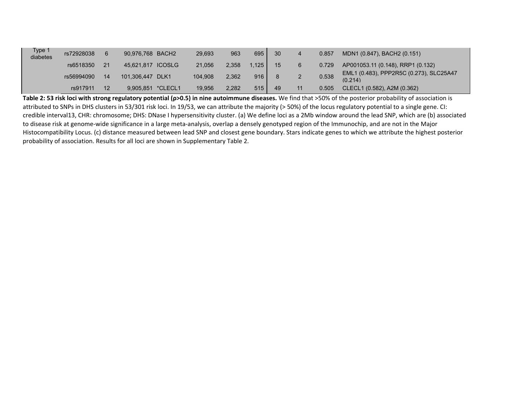| Type 1<br>diabetes | rs72928038 |    | 90.976.768 BACH2  |                  | 29.693  | 963   | 695   | 30 |                | 0.857 | MDN1 (0.847), BACH2 (0.151)                        |
|--------------------|------------|----|-------------------|------------------|---------|-------|-------|----|----------------|-------|----------------------------------------------------|
|                    | rs6518350  | 21 | 45.621.817 ICOSLG |                  | 21.056  | 2.358 | 1.125 | 15 | - 6            | 0.729 | AP001053.11 (0.148), RRP1 (0.132)                  |
|                    | rs56994090 | 14 | 101.306.447       | DLK <sub>1</sub> | 104.908 | 2,362 | 916   |    | $\overline{2}$ | 0.538 | EML1 (0.483), PPP2R5C (0.273), SLC25A47<br>(0.214) |
|                    | rs917911   | 12 | 9.905.851         | *CLECL1          | 19,956  | 2,282 | 515   | 49 | 11             | 0.505 | CLECL1 (0.582), A2M (0.362)                        |

Table 2: 53 risk loci with strong regulatory potential (p>0.5) in nine autoimmune diseases. We find that >50% of the posterior probability of association is attributed to SNPs in DHS clusters in 53/301 risk loci. In 19/53, we can attribute the majority (> 50%) of the locus regulatory potential to a single gene. CI: credible interval13, CHR: chromosome; DHS: DNase I hypersensitivity cluster. (a) We define loci as a 2Mb window around the lead SNP, which are (b) associated to disease risk at genome-wide significance in a large meta-analysis, overlap a densely genotyped region of the Immunochip, and are not in the Major Histocompatibility Locus. (c) distance measured between lead SNP and closest gene boundary. Stars indicate genes to which we attribute the highest posterior probability of association. Results for all loci are shown in Supplementary Table 2.